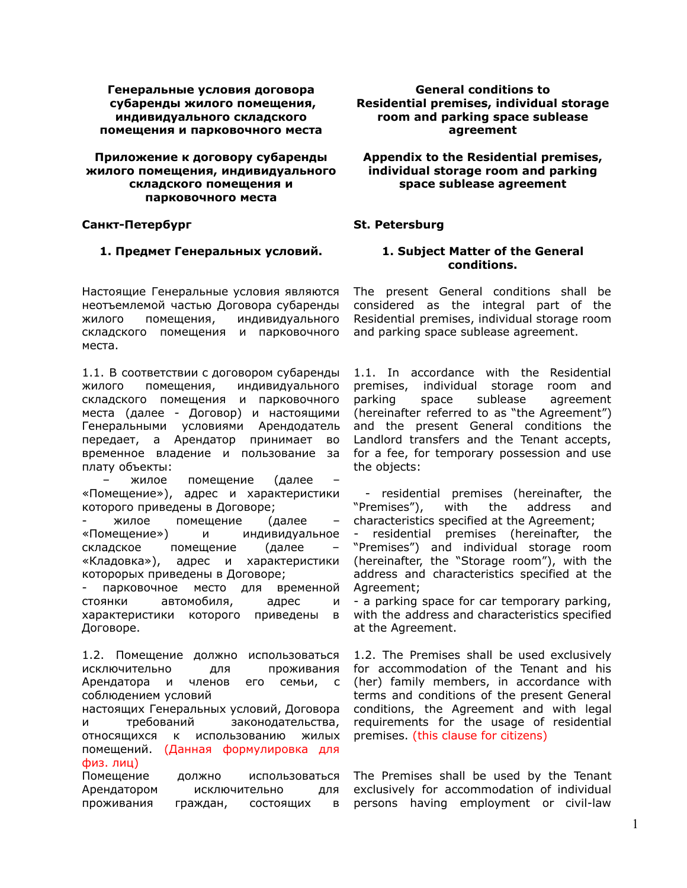### **Генеральные условия договора субаренды жилого помещения, индивидуального складского помещения и парковочного места**

### **Приложение к договору субаренды жилого помещения, индивидуального складского помещения и парковочного места**

# **Санкт-Петербург**

# **1. Предмет Генеральных условий.**

Настоящие Генеральные условия являются неотъемлемой частью Договора субаренды жилого помещения, индивидуального складского помещения и парковочного места.

1.1. В соответствии с договором субаренды жилого помещения, индивидуального складского помещения и парковочного места (далее - Договор) и настоящими Генеральными условиями Арендодатель передает, а Арендатор принимает во временное владение и пользование за плату объекты:

жилое помещение (далее «Помещение»), адрес и характеристики которого приведены в Договоре;

жилое помещение (далее «Помещение») и индивидуальное складское помещение (далее «Кладовка»), адрес и характеристики которорых приведены в Договоре;

парковочное место для временной стоянки автомобиля, адрес и характеристики которого приведены в Договоре.

1.2. Помещение должно использоваться исключительно для проживания Арендатора и членов его семьи, с соблюдением условий

настоящих Генеральных условий, Договора и требований законодательства, относящихся к использованию жилых помещений. (Данная формулировка для физ. лиц)

Помещение должно использоваться Арендатором исключительно для проживания граждан, состоящих в

**General conditions to Residential premises, individual storage room and parking space sublease agreement**

**Appendix to the Residential premises, individual storage room and parking space sublease agreement**

# **St. Petersburg**

## **1. Subject Matter of the General conditions.**

The present General conditions shall be considered as the integral part of the Residential premises, individual storage room and parking space sublease agreement.

1.1. In accordance with the Residential premises, individual storage room and parking space sublease agreement (hereinafter referred to as "the Agreement") and the present General conditions the Landlord transfers and the Tenant accepts, for a fee, for temporary possession and use the objects:

- residential premises (hereinafter, the "Premises"), with the address and characteristics specified at the Agreement;

- residential premises (hereinafter, the "Premises") and individual storage room (hereinafter, the "Storage room"), with the address and characteristics specified at the Agreement;

- a parking space for car temporary parking, with the address and characteristics specified at the Agreement.

1.2. The Premises shall be used exclusively for accommodation of the Tenant and his (her) family members, in accordance with terms and conditions of the present General conditions, the Agreement and with legal requirements for the usage of residential premises. (this clause for citizens)

The Premises shall be used by the Tenant exclusively for accommodation of individual persons having employment or civil-law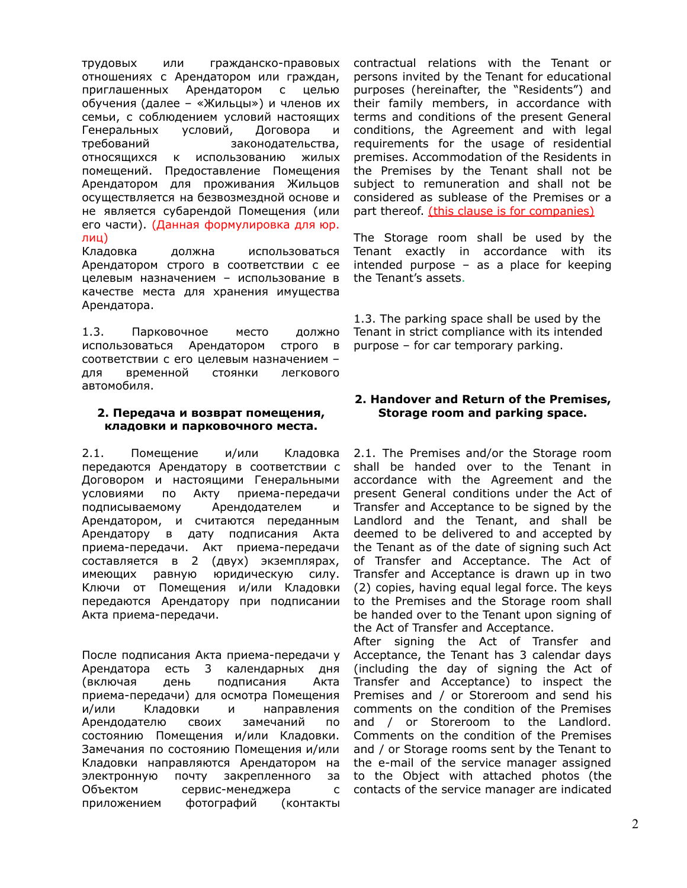трудовых или гражданско-правовых отношениях с Арендатором или граждан, приглашенных Арендатором с целью обучения (далее – «Жильцы») и членов их семьи, с соблюдением условий настоящих Генеральных условий, Договора и требований законодательства, относящихся к использованию жилых помещений. Предоставление Помещения Арендатором для проживания Жильцов осуществляется на безвозмездной основе и не является субарендой Помещения (или его части). (Данная формулировка для юр. лиц)

Кладовка должна использоваться Арендатором строго в соответствии с ее целевым назначением – использование в качестве места для хранения имущества Арендатора.

1.3. Парковочное место должно использоваться Арендатором строго в соответствии с его целевым назначением – для временной стоянки легкового автомобиля.

## **2. Передача и возврат помещения, кладовки и парковочного места.**

2.1. Помещение и/или Кладовка передаются Арендатору в соответствии с Договором и настоящими Генеральными условиями по Акту приема-передачи подписываемому Арендодателем и Арендатором, и считаются переданным Арендатору в дату подписания Aкта приема-передачи. Акт приема-передачи составляется в 2 (двух) экземплярах, имеющих равную юридическую силу. Ключи от Помещения и/или Кладовки передаются Арендатору при подписании Акта приема-передачи.

После подписания Акта приема-передачи у Арендатора есть 3 календарных дня (включая день подписания Акта приема-передачи) для осмотра Помещения и/или Кладовки и направления Арендодателю своих замечаний по состоянию Помещения и/или Кладовки. Замечания по состоянию Помещения и/или Кладовки направляются Арендатором на электронную почту закрепленного за Объектом сервис-менеджера с приложением фотографий (контакты

contractual relations with the Tenant or persons invited by the Tenant for educational purposes (hereinafter, the "Residents") and their family members, in accordance with terms and conditions of the present General conditions, the Agreement and with legal requirements for the usage of residential premises. Accommodation of the Residents in the Premises by the Tenant shall not be subject to remuneration and shall not be considered as sublease of the Premises or a part thereof. (this clause is for companies)

The Storage room shall be used by the Tenant exactly in accordance with its intended purpose – as a place for keeping the Tenant's assets.

1.3. The parking space shall be used by the Tenant in strict compliance with its intended purpose – for car temporary parking.

# **2. Handover and Return of the Premises, Storage room and parking space.**

2.1. The Premises and/or the Storage room shall be handed over to the Tenant in accordance with the Agreement and the present General conditions under the Act of Transfer and Acceptance to be signed by the Landlord and the Tenant, and shall be deemed to be delivered to and accepted by the Tenant as of the date of signing such Act of Transfer and Acceptance. The Act of Transfer and Acceptance is drawn up in two (2) copies, having equal legal force. The keys to the Premises and the Storage room shall be handed over to the Tenant upon signing of the Act of Transfer and Acceptance.

After signing the Act of Transfer and Acceptance, the Tenant has 3 calendar days (including the day of signing the Act of Transfer and Acceptance) to inspect the Premises and / or Storeroom and send his comments on the condition of the Premises and / or Storeroom to the Landlord. Comments on the condition of the Premises and / or Storage rooms sent by the Tenant to the e-mail of the service manager assigned to the Object with attached photos (the contacts of the service manager are indicated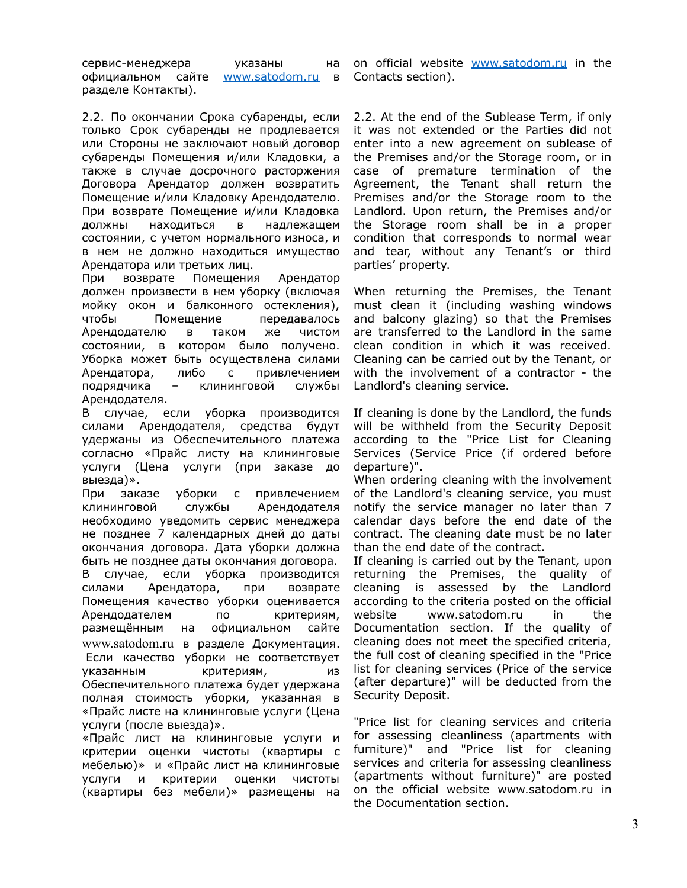сервис-менеджера указаны на официальном сайте [www.satodom.ru](http://www.satodom.ru) в разделе Контакты).

2.2. По окончании Срока субаренды, если только Срок субаренды не продлевается или Стороны не заключают новый договор субаренды Помещения и/или Кладовки, а также в случае досрочного расторжения Договора Арендатор должен возвратить Помещение и/или Кладовку Арендодателю. При возврате Помещение и/или Кладовка должны находиться в надлежащем состоянии, с учетом нормального износа, и в нем не должно находиться имущество Арендатора или третьих лиц.

При возврате Помещения Арендатор должен произвести в нем уборку (включая мойку окон и балконного остекления), чтобы Помещение передавалось Арендодателю в таком же чистом состоянии, в котором было получено. Уборка может быть осуществлена силами Арендатора, либо с привлечением подрядчика – клининговой службы Арендодателя.

В случае, если уборка производится силами Арендодателя, средства будут удержаны из Обеспечительного платежа согласно «Прайс листу на клининговые услуги (Цена услуги (при заказе до выезда)».

При заказе уборки с привлечением клининговой службы Арендодателя необходимо уведомить сервис менеджера не позднее 7 календарных дней до даты окончания договора. Дата уборки должна быть не позднее даты окончания договора. В случае, если уборка производится силами Арендатора, при возврате Помещения качество уборки оценивается Арендодателем по критериям, размещённым на официальном сайте [www.satodom.ru](http://www.satodom.ru) в разделе Документация. Если качество уборки не соответствует указанным критериям, из Обеспечительного платежа будет удержана полная стоимость уборки, указанная в «Прайс листе на клининговые услуги (Цена услуги (после выезда)».

«Прайс лист на клининговые услуги и критерии оценки чистоты (квартиры с мебелью)» и «Прайс лист на клининговые услуги и критерии оценки чистоты (квартиры без мебели)» размещены на

on official website [www.satodom.ru](http://www.satodom.ru) in the Contacts section).

2.2. At the end of the Sublease Term, if only it was not extended or the Parties did not enter into a new agreement on sublease of the Premises and/or the Storage room, or in case of premature termination of the Agreement, the Tenant shall return the Premises and/or the Storage room to the Landlord. Upon return, the Premises and/or the Storage room shall be in a proper condition that corresponds to normal wear and tear, without any Tenant's or third parties' property.

When returning the Premises, the Tenant must clean it (including washing windows and balcony glazing) so that the Premises are transferred to the Landlord in the same clean condition in which it was received. Cleaning can be carried out by the Tenant, or with the involvement of a contractor - the Landlord's cleaning service.

If cleaning is done by the Landlord, the funds will be withheld from the Security Deposit according to the "Price List for Cleaning Services (Service Price (if ordered before departure)".

When ordering cleaning with the involvement of the Landlord's cleaning service, you must notify the service manager no later than 7 calendar days before the end date of the contract. The cleaning date must be no later than the end date of the contract.

If cleaning is carried out by the Tenant, upon returning the Premises, the quality of cleaning is assessed by the Landlord according to the criteria posted on the official website www.satodom.ru in the Documentation section. If the quality of cleaning does not meet the specified criteria, the full cost of cleaning specified in the "Price list for cleaning services (Price of the service (after departure)" will be deducted from the Security Deposit.

"Price list for cleaning services and criteria for assessing cleanliness (apartments with furniture)" and "Price list for cleaning services and criteria for assessing cleanliness (apartments without furniture)" are posted on the official website www.satodom.ru in the Documentation section.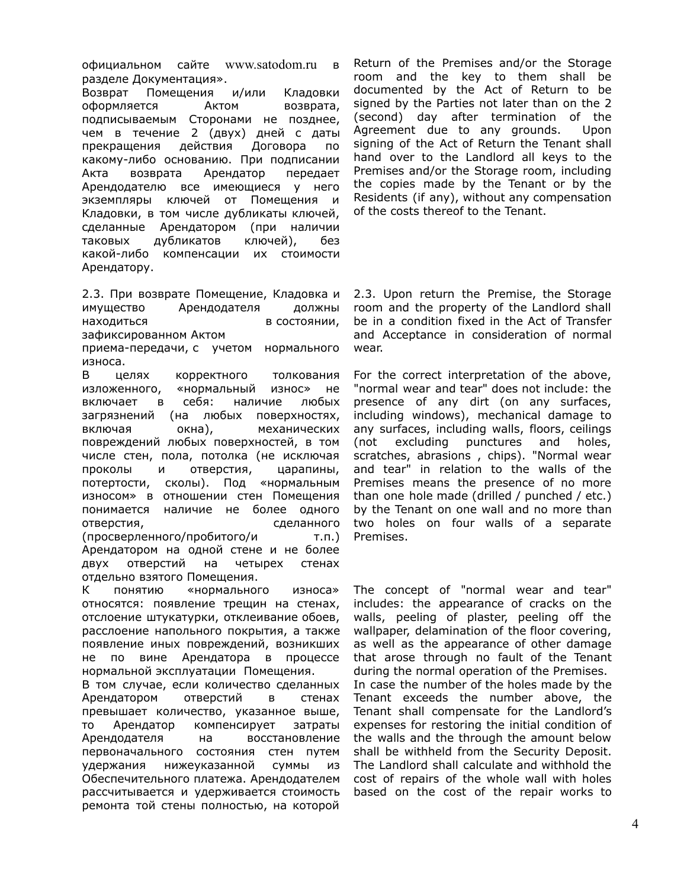официальном сайте [www.satodom.ru](http://www.satodom.ru) в разделе Документация».

Возврат Помещения и/или Кладовки оформляется Актом возврата, подписываемым Сторонами не позднее, чем в течение 2 (двух) дней с даты прекращения действия Договора по какому-либо основанию. При подписании Акта возврата Арендатор передает Арендодателю все имеющиеся у него экземпляры ключей от Помещения и Кладовки, в том числе дубликаты ключей, сделанные Арендатором (при наличии таковых дубликатов ключей), без какой-либо компенсации их стоимости Арендатору.

2.3. При возврате Помещение, Кладовка и имущество Арендодателя должны находиться в состоянии, зафиксированном Актом приема-передачи, с учетом нормального износа.

В целях корректного толкования изложенного, «нормальный износ» не включает в себя: наличие любых загрязнений (на любых поверхностях, включая окна), механических повреждений любых поверхностей, в том числе стен, пола, потолка (не исключая проколы и отверстия, царапины, потертости, сколы). Под «нормальным износом» в отношении стен Помещения понимается наличие не более одного отверстия, сделанного (просверленного/пробитого/и т.п.) Арендатором на одной стене и не более двух отверстий на четырех стенах отдельно взятого Помещения.

К понятию «нормального износа» относятся: появление трещин на стенах, отслоение штукатурки, отклеивание обоев, расслоение напольного покрытия, а также появление иных повреждений, возникших не по вине Арендатора в процессе нормальной эксплуатации Помещения.

В том случае, если количество сделанных Арендатором отверстий в стенах превышает количество, указанное выше, то Арендатор компенсирует затраты Арендодателя на восстановление первоначального состояния стен путем удержания нижеуказанной суммы из Обеспечительного платежа. Арендодателем рассчитывается и удерживается стоимость ремонта той стены полностью, на которой

Return of the Premises and/or the Storage room and the key to them shall be documented by the Act of Return to be signed by the Parties not later than on the 2 (second) day after termination of the Agreement due to any grounds. Upon signing of the Act of Return the Tenant shall hand over to the Landlord all keys to the Premises and/or the Storage room, including the copies made by the Tenant or by the Residents (if any), without any compensation of the costs thereof to the Tenant.

2.3. Upon return the Premise, the Storage room and the property of the Landlord shall be in a condition fixed in the Act of Transfer and Acceptance in consideration of normal wear.

For the correct interpretation of the above, "normal wear and tear" does not include: the presence of any dirt (on any surfaces, including windows), mechanical damage to any surfaces, including walls, floors, ceilings (not excluding punctures and holes, scratches, abrasions , chips). "Normal wear and tear" in relation to the walls of the Premises means the presence of no more than one hole made (drilled / punched / etc.) by the Tenant on one wall and no more than two holes on four walls of a separate Premises.

The concept of "normal wear and tear" includes: the appearance of cracks on the walls, peeling of plaster, peeling off the wallpaper, delamination of the floor covering, as well as the appearance of other damage that arose through no fault of the Tenant during the normal operation of the Premises. In case the number of the holes made by the Tenant exceeds the number above, the Tenant shall compensate for the Landlord's expenses for restoring the initial condition of the walls and the through the amount below shall be withheld from the Security Deposit. The Landlord shall calculate and withhold the cost of repairs of the whole wall with holes based on the cost of the repair works to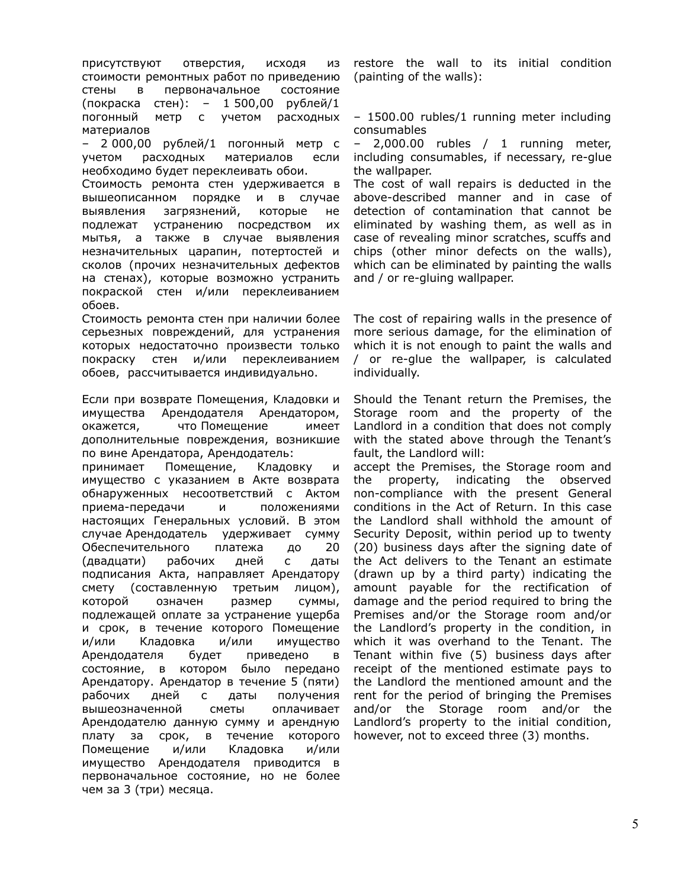присутствуют отверстия, исходя из стоимости ремонтных работ по приведению стены в первоначальное состояние (покраска стен): – 1 500,00 рублей/1 погонный метр с учетом расходных материалов

– 2 000,00 рублей/1 погонный метр с учетом расходных материалов если необходимо будет переклеивать обои.

Стоимость ремонта стен удерживается в вышеописанном порядке и в случае выявления загрязнений, которые не подлежат устранению посредством их мытья, а также в случае выявления незначительных царапин, потертостей и сколов (прочих незначительных дефектов на стенах), которые возможно устранить покраской стен и/или переклеиванием обоев.

Стоимость ремонта стен при наличии более серьезных повреждений, для устранения которых недостаточно произвести только покраску стен и/или переклеиванием обоев, рассчитывается индивидуально.

Если при возврате Помещения, Кладовки и имущества Арендодателя Арендатором, окажется, что Помещение имеет дополнительные повреждения, возникшие по вине Арендатора, Арендодатель:

принимает Помещение, Кладовку и имущество с указанием в Акте возврата обнаруженных несоответствий с Актом приема-передачи и положениями настоящих Генеральных условий. В этом случае Арендодатель удерживает сумму Обеспечительного платежа до 20 (двадцати) рабочих дней с даты подписания Акта, направляет Арендатору смету (составленную третьим лицом), которой означен размер суммы, подлежащей оплате за устранение ущерба и срок, в течение которого Помещение и/или Кладовка и/или имущество Арендодателя будет приведено в состояние, в котором было передано Арендатору. Арендатор в течение 5 (пяти) рабочих дней с даты получения вышеозначенной сметы оплачивает Арендодателю данную сумму и арендную плату за срок, в течение которого Помещение и/или Кладовка и/или имущество Арендодателя приводится в первоначальное состояние, но не более чем за 3 (три) месяца.

restore the wall to its initial condition (painting of the walls):

– 1500.00 rubles/1 running meter including consumables

– 2,000.00 rubles / 1 running meter, including consumables, if necessary, re-glue the wallpaper.

The cost of wall repairs is deducted in the above-described manner and in case of detection of contamination that cannot be eliminated by washing them, as well as in case of revealing minor scratches, scuffs and chips (other minor defects on the walls), which can be eliminated by painting the walls and / or re-gluing wallpaper.

The cost of repairing walls in the presence of more serious damage, for the elimination of which it is not enough to paint the walls and / or re-glue the wallpaper, is calculated individually.

Should the Tenant return the Premises, the Storage room and the property of the Landlord in a condition that does not comply with the stated above through the Tenant's fault, the Landlord will:

accept the Premises, the Storage room and the property, indicating the observed non-compliance with the present General conditions in the Act of Return. In this case the Landlord shall withhold the amount of Security Deposit, within period up to twenty (20) business days after the signing date of the Act delivers to the Tenant an estimate (drawn up by a third party) indicating the amount payable for the rectification of damage and the period required to bring the Premises and/or the Storage room and/or the Landlord's property in the condition, in which it was overhand to the Tenant. The Tenant within five (5) business days after receipt of the mentioned estimate pays to the Landlord the mentioned amount and the rent for the period of bringing the Premises and/or the Storage room and/or the Landlord's property to the initial condition, however, not to exceed three (3) months.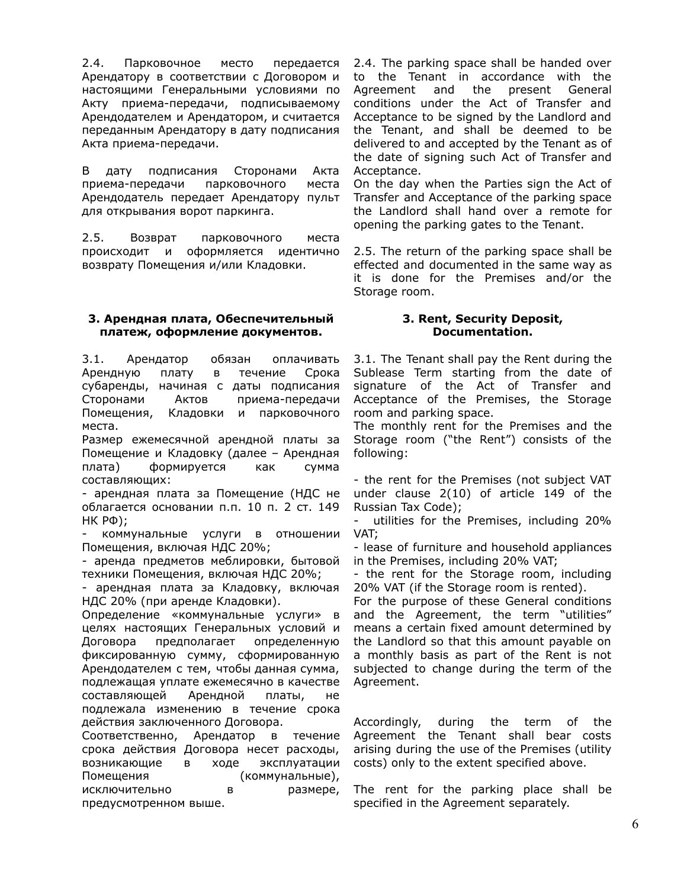2.4. Парковочное место передается Арендатору в соответствии с Договором и настоящими Генеральными условиями по Акту приема-передачи, подписываемому Арендодателем и Арендатором, и считается переданным Арендатору в дату подписания Aкта приема-передачи.

В дату подписания Сторонами Акта приема-передачи парковочного места Арендодатель передает Арендатору пульт для открывания ворот паркинга.

2.5. Возврат парковочного места происходит и оформляется идентично возврату Помещения и/или Кладовки.

# **3. Арендная плата, Обеспечительный платеж, оформление документов.**

3.1. Арендатор обязан оплачивать Арендную плату в течение Срока субаренды, начиная с даты подписания Сторонами Актов приема-передачи Помещения, Кладовки и парковочного места.

Размер ежемесячной арендной платы за Помещение и Кладовку (далее – Арендная плата) формируется как сумма составляющих:

- арендная плата за Помещение (НДС не облагается основании п.п. 10 п. 2 ст. 149 НК РФ);

- коммунальные услуги в отношении Помещения, включая НДС 20%;

- аренда предметов меблировки, бытовой техники Помещения, включая НДС 20%;

- арендная плата за Кладовку, включая НДС 20% (при аренде Кладовки).

Определение «коммунальные услуги» в целях настоящих Генеральных условий и Договора предполагает определенную фиксированную сумму, сформированную Арендодателем с тем, чтобы данная сумма, подлежащая уплате ежемесячно в качестве составляющей Арендной платы, не подлежала изменению в течение срока действия заключенного Договора.

Соответственно, Арендатор в течение срока действия Договора несет расходы, возникающие в ходе эксплуатации Помещения (коммунальные), исключительно в размере, предусмотренном выше.

2.4. The parking space shall be handed over to the Tenant in accordance with the Agreement and the present General conditions under the Act of Transfer and Acceptance to be signed by the Landlord and the Tenant, and shall be deemed to be delivered to and accepted by the Tenant as of the date of signing such Act of Transfer and Acceptance.

On the day when the Parties sign the Act of Transfer and Acceptance of the parking space the Landlord shall hand over a remote for opening the parking gates to the Tenant.

2.5. The return of the parking space shall be effected and documented in the same way as it is done for the Premises and/or the Storage room.

## **3. Rent, Security Deposit, Documentation.**

3.1. The Tenant shall pay the Rent during the Sublease Term starting from the date of signature of the Act of Transfer and Acceptance of the Premises, the Storage room and parking space.

The monthly rent for the Premises and the Storage room ("the Rent") consists of the following:

- the rent for the Premises (not subject VAT under clause 2(10) of article 149 of the Russian Tax Code);

- utilities for the Premises, including 20% VAT;

- lease of furniture and household appliances in the Premises, including 20% VAT;

- the rent for the Storage room, including 20% VAT (if the Storage room is rented).

For the purpose of these General conditions and the Agreement, the term "utilities" means a certain fixed amount determined by the Landlord so that this amount payable on a monthly basis as part of the Rent is not subjected to change during the term of the Agreement.

Accordingly, during the term of the Agreement the Tenant shall bear costs arising during the use of the Premises (utility costs) only to the extent specified above.

The rent for the parking place shall be specified in the Agreement separately.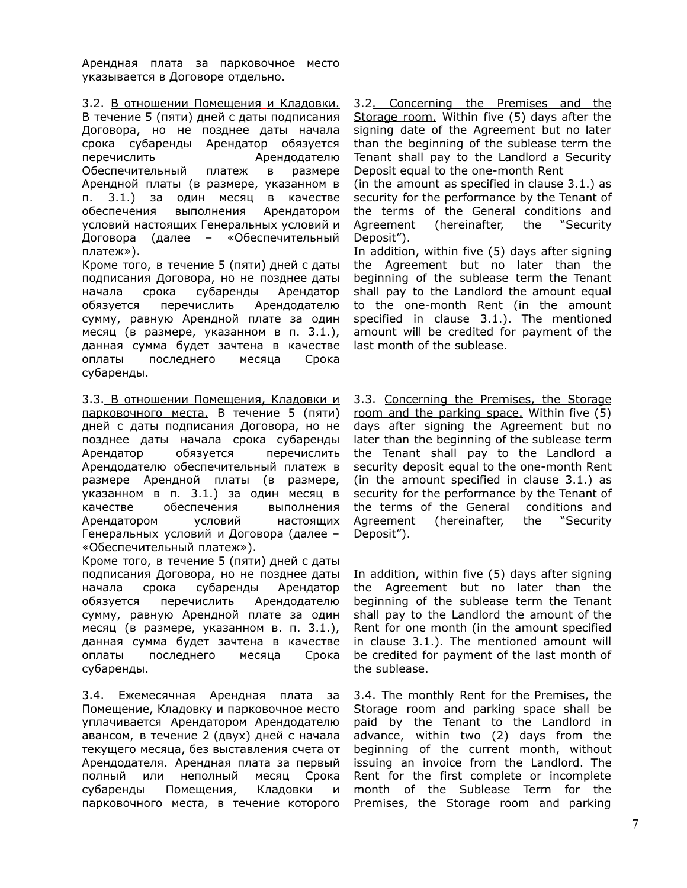Арендная плата за парковочное место указывается в Договоре отдельно.

3.2. В отношении Помещения и Кладовки.

В течение 5 (пяти) дней с даты подписания Договора, но не позднее даты начала срока субаренды Арендатор обязуется перечислить Арендодателю Обеспечительный платеж в размере Арендной платы (в размере, указанном в п. 3.1.) за один месяц в качестве обеспечения выполнения Арендатором условий настоящих Генеральных условий и Договора (далее – «Обеспечительный платеж»).

Кроме того, в течение 5 (пяти) дней с даты подписания Договора, но не позднее даты начала срока субаренды Арендатор обязуется перечислить Арендодателю сумму, равную Арендной плате за один месяц (в размере, указанном в п. 3.1.), данная сумма будет зачтена в качестве оплаты последнего месяца Срока субаренды.

3.3. В отношении Помещения, Кладовки и парковочного места. В течение 5 (пяти) дней с даты подписания Договора, но не позднее даты начала срока субаренды Арендатор обязуется перечислить Арендодателю обеспечительный платеж в размере Арендной платы (в размере, указанном в п. 3.1.) за один месяц в качестве обеспечения выполнения Арендатором условий настоящих Генеральных условий и Договора (далее – «Обеспечительный платеж»).

Кроме того, в течение 5 (пяти) дней с даты подписания Договора, но не позднее даты начала срока субаренды Арендатор обязуется перечислить Арендодателю сумму, равную Арендной плате за один месяц (в размере, указанном в. п. 3.1.), данная сумма будет зачтена в качестве оплаты последнего месяца Срока субаренды.

3.4. Ежемесячная Арендная плата за Помещение, Кладовку и парковочное место уплачивается Арендатором Арендодателю авансом, в течение 2 (двух) дней с начала текущего месяца, без выставления счета от Арендодателя. Арендная плата за первый полный или неполный месяц Срока субаренды Помещения, Кладовки и парковочного места, в течение которого

3.2. Concerning the Premises and the Storage room. Within five (5) days after the signing date of the Agreement but no later than the beginning of the sublease term the Tenant shall pay to the Landlord a Security Deposit equal to the one-month Rent

(in the amount as specified in clause 3.1.) as security for the performance by the Tenant of the terms of the General conditions and Agreement (hereinafter, the "Security Deposit").

In addition, within five (5) days after signing the Agreement but no later than the beginning of the sublease term the Tenant shall pay to the Landlord the amount equal to the one-month Rent (in the amount specified in clause 3.1.). The mentioned amount will be credited for payment of the last month of the sublease.

3.3. Concerning the Premises, the Storage room and the parking space. Within five (5) days after signing the Agreement but no later than the beginning of the sublease term the Tenant shall pay to the Landlord a security deposit equal to the one-month Rent (in the amount specified in clause 3.1.) as security for the performance by the Tenant of the terms of the General conditions and Agreement (hereinafter, the "Security Deposit").

In addition, within five (5) days after signing the Agreement but no later than the beginning of the sublease term the Tenant shall pay to the Landlord the amount of the Rent for one month (in the amount specified in clause 3.1.). The mentioned amount will be credited for payment of the last month of the sublease.

3.4. The monthly Rent for the Premises, the Storage room and parking space shall be paid by the Tenant to the Landlord in advance, within two (2) days from the beginning of the current month, without issuing an invoice from the Landlord. The Rent for the first complete or incomplete month of the Sublease Term for the Premises, the Storage room and parking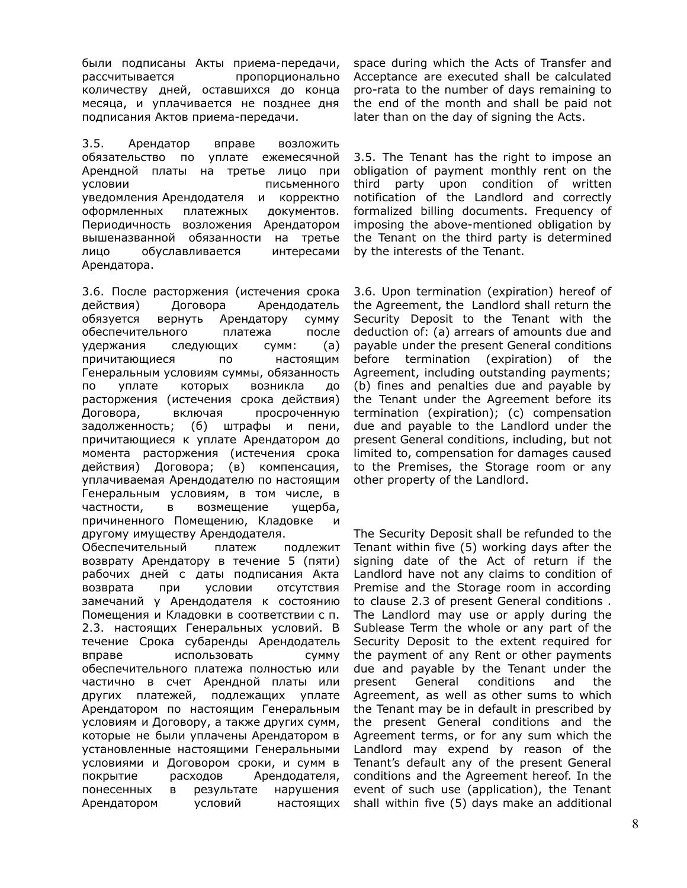были подписаны Акты приема-передачи, рассчитывается пропорционально количеству дней, оставшихся до конца месяца, и уплачивается не позднее дня подписания Актов приема-передачи.

3.5. Арендатор вправе возложить обязательство по уплате ежемесячной Арендной платы на третье лицо при условии письменного уведомления Арендодателя и корректно оформленных платежных документов. Периодичность возложения Арендатором вышеназванной обязанности на третье лицо обуславливается интересами Арендатора.

3.6. После расторжения (истечения срока действия) Договора Арендодатель обязуется вернуть Арендатору сумму обеспечительного платежа после удержания следующих сумм: (а) причитающиеся по настоящим Генеральным условиям суммы, обязанность по уплате которых возникла до расторжения (истечения срока действия) Договора, включая просроченную задолженность; (б) штрафы и пени, причитающиеся к уплате Арендатором до момента расторжения (истечения срока действия) Договора; (в) компенсация, уплачиваемая Арендодателю по настоящим Генеральным условиям, в том числе, в частности, в возмещение ущерба, причиненного Помещению, Кладовке другому имуществу Арендодателя.

Обеспечительный платеж подлежит возврату Арендатору в течение 5 (пяти) рабочих дней с даты подписания Акта возврата при условии отсутствия замечаний у Арендодателя к состоянию Помещения и Кладовки в соответствии с п. 2.3. настоящих Генеральных условий. В течение Срока субаренды Арендодатель вправе использовать сумму обеспечительного платежа полностью или частично в счет Арендной платы или других платежей, подлежащих уплате Арендатором по настоящим Генеральным условиям и Договору, а также других сумм, которые не были уплачены Арендатором в установленные настоящими Генеральными условиями и Договором сроки, и сумм в покрытие расходов Арендодателя, понесенных в результате нарушения Арендатором условий настоящих

space during which the Acts of Transfer and Acceptance are executed shall be calculated pro-rata to the number of days remaining to the end of the month and shall be paid not later than on the day of signing the Acts.

3.5. The Tenant has the right to impose an obligation of payment monthly rent on the third party upon condition of written notification of the Landlord and correctly formalized billing documents. Frequency of imposing the above-mentioned obligation by the Tenant on the third party is determined by the interests of the Tenant.

3.6. Upon termination (expiration) hereof of the Agreement, the Landlord shall return the Security Deposit to the Tenant with the deduction of: (a) arrears of amounts due and payable under the present General conditions before termination (expiration) of the Agreement, including outstanding payments; (b) fines and penalties due and payable by the Tenant under the Agreement before its termination (expiration); (c) compensation due and payable to the Landlord under the present General conditions, including, but not limited to, compensation for damages caused to the Premises, the Storage room or any other property of the Landlord.

The Security Deposit shall be refunded to the Tenant within five (5) working days after the signing date of the Act of return if the Landlord have not any claims to condition of Premise and the Storage room in according to clause 2.3 of present General conditions . The Landlord may use or apply during the Sublease Term the whole or any part of the Security Deposit to the extent required for the payment of any Rent or other payments due and payable by the Tenant under the present General conditions and the Agreement, as well as other sums to which the Tenant may be in default in prescribed by the present General conditions and the Agreement terms, or for any sum which the Landlord may expend by reason of the Tenant's default any of the present General conditions and the Agreement hereof. In the event of such use (application), the Tenant shall within five (5) days make an additional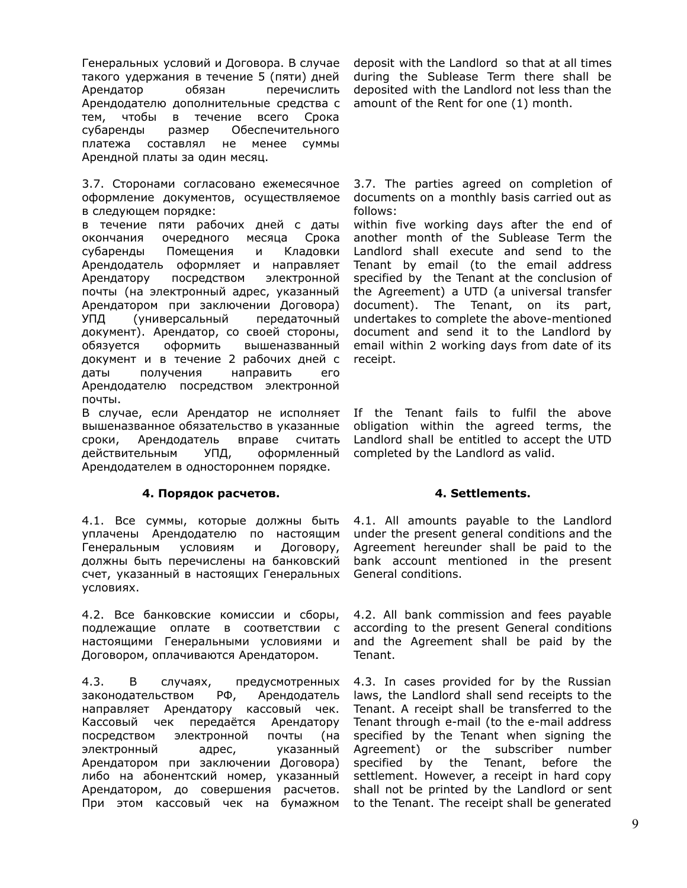Генеральных условий и Договора. В случае такого удержания в течение 5 (пяти) дней Арендатор обязан перечислить Арендодателю дополнительные средства с тем, чтобы в течение всего Срока субаренды размер Обеспечительного платежа составлял не менее суммы Арендной платы за один месяц.

3.7. Сторонами согласовано ежемесячное оформление документов, осуществляемое в следующем порядке:

в течение пяти рабочих дней с даты окончания очередного месяца Срока субаренды Помещения и Кладовки Арендодатель оформляет и направляет Арендатору посредством электронной почты (на электронный адрес, указанный Арендатором при заключении Договора) УПД (универсальный передаточный документ). Арендатор, со своей стороны, обязуется оформить вышеназванный документ и в течение 2 рабочих дней с даты получения направить его Арендодателю посредством электронной почты.

В случае, если Арендатор не исполняет вышеназванное обязательство в указанные сроки, Арендодатель вправе считать действительным УПД, оформленный Арендодателем в одностороннем порядке.

# **4. Порядок расчетов. 4. Settlements.**

4.1. Все суммы, которые должны быть уплачены Арендодателю по настоящим Генеральным условиям и Договору, должны быть перечислены на банковский счет, указанный в настоящих Генеральных условиях.

4.2. Все банковские комиссии и сборы, подлежащие оплате в соответствии с настоящими Генеральными условиями и Договором, оплачиваются Арендатором.

4.3. В случаях, предусмотренных законодательством РФ, Арендодатель направляет Арендатору кассовый чек. Кассовый чек передаётся Арендатору посредством электронной почты (на электронный адрес, указанный Арендатором при заключении Договора) либо на абонентский номер, указанный Арендатором, до совершения расчетов. При этом кассовый чек на бумажном

deposit with the Landlord so that at all times during the Sublease Term there shall be deposited with the Landlord not less than the amount of the Rent for one (1) month.

3.7. The parties agreed on completion of documents on a monthly basis carried out as follows:

within five working days after the end of another month of the Sublease Term the Landlord shall execute and send to the Tenant by email (to the email address specified by the Tenant at the conclusion of the Agreement) a UTD (a universal transfer document). The Tenant, on its part, undertakes to complete the above-mentioned document and send it to the Landlord by email within 2 working days from date of its receipt.

If the Tenant fails to fulfil the above obligation within the agreed terms, the Landlord shall be entitled to accept the UTD completed by the Landlord as valid.

4.1. All amounts payable to the Landlord under the present general conditions and the Agreement hereunder shall be paid to the bank account mentioned in the present General conditions.

4.2. All bank commission and fees payable according to the present General conditions and the Agreement shall be paid by the Tenant.

4.3. In cases provided for by the Russian laws, the Landlord shall send receipts to the Tenant. A receipt shall be transferred to the Tenant through e-mail (to the e-mail address specified by the Tenant when signing the Agreement) or the subscriber number specified by the Tenant, before the settlement. However, a receipt in hard copy shall not be printed by the Landlord or sent to the Tenant. The receipt shall be generated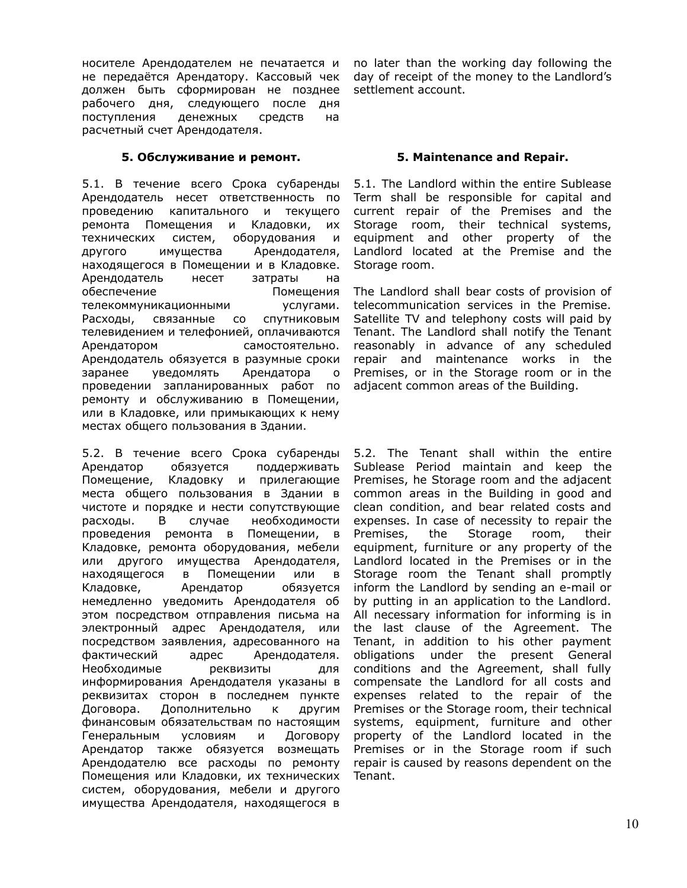носителе Арендодателем не печатается и не передаётся Арендатору. Кассовый чек должен быть сформирован не позднее рабочего дня, следующего после дня поступления денежных средств на расчетный счет Арендодателя.

# **5. Обслуживание и ремонт. 5. Maintenance and Repair.**

5.1. В течение всего Срока субаренды Арендодатель несет ответственность по проведению капитального и текущего ремонта Помещения и Кладовки, их технических систем, оборудования и другого имущества Арендодателя, находящегося в Помещении и в Кладовке. Арендодатель несет затраты на обеспечение Помещения телекоммуникационными услугами. Расходы, связанные со спутниковым телевидением и телефонией, оплачиваются Арендатором самостоятельно. Арендодатель обязуется в разумные сроки заранее уведомлять Арендатора о проведении запланированных работ по ремонту и обслуживанию в Помещении, или в Кладовке, или примыкающих к нему местах общего пользования в Здании.

5.2. В течение всего Срока субаренды Арендатор обязуется поддерживать Помещение, Кладовку и прилегающие места общего пользования в Здании в чистоте и порядке и нести сопутствующие расходы. В случае необходимости проведения ремонта в Помещении, в Кладовке, ремонта оборудования, мебели или другого имущества Арендодателя, находящегося в Помещении или в Кладовке, Арендатор обязуется немедленно уведомить Арендодателя об этом посредством отправления письма на электронный адрес Арендодателя, или посредством заявления, адресованного на фактический адрес Арендодателя. Необходимые реквизиты для информирования Арендодателя указаны в реквизитах сторон в последнем пункте Договора. Дополнительно к другим финансовым обязательствам по настоящим Генеральным условиям и Договору Арендатор также обязуется возмещать Арендодателю все расходы по ремонту Помещения или Кладовки, их технических систем, оборудования, мебели и другого имущества Арендодателя, находящегося в

no later than the working day following the day of receipt of the money to the Landlord's settlement account.

5.1. The Landlord within the entire Sublease Term shall be responsible for capital and current repair of the Premises and the Storage room, their technical systems, equipment and other property of the Landlord located at the Premise and the Storage room.

The Landlord shall bear costs of provision of telecommunication services in the Premise. Satellite TV and telephony costs will paid by Tenant. The Landlord shall notify the Tenant reasonably in advance of any scheduled repair and maintenance works in the Premises, or in the Storage room or in the adjacent common areas of the Building.

5.2. The Tenant shall within the entire Sublease Period maintain and keep the Premises, he Storage room and the adjacent common areas in the Building in good and clean condition, and bear related costs and expenses. In case of necessity to repair the Premises, the Storage room, their equipment, furniture or any property of the Landlord located in the Premises or in the Storage room the Tenant shall promptly inform the Landlord by sending an e-mail or by putting in an application to the Landlord. All necessary information for informing is in the last clause of the Agreement. The Tenant, in addition to his other payment obligations under the present General conditions and the Agreement, shall fully compensate the Landlord for all costs and expenses related to the repair of the Premises or the Storage room, their technical systems, equipment, furniture and other property of the Landlord located in the Premises or in the Storage room if such repair is caused by reasons dependent on the Tenant.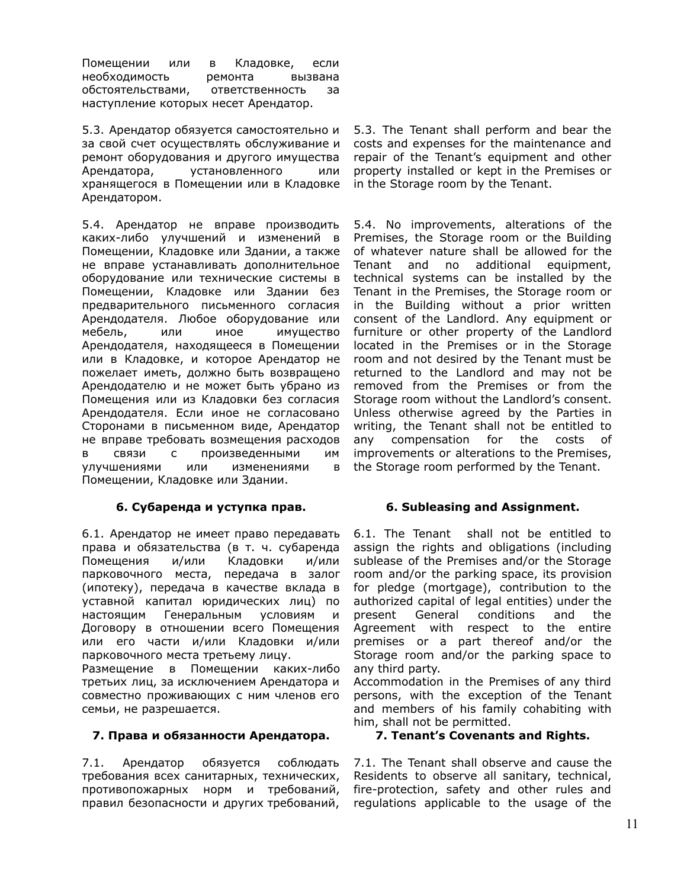Помещении или в Кладовке, если необходимость ремонта вызвана обстоятельствами, ответственность за наступление которых несет Арендатор.

5.3. Арендатор обязуется самостоятельно и за свой счет осуществлять обслуживание и ремонт оборудования и другого имущества Арендатора, установленного или хранящегося в Помещении или в Кладовке Арендатором.

5.4. Арендатор не вправе производить каких-либо улучшений и изменений в Помещении, Кладовке или Здании, а также не вправе устанавливать дополнительное оборудование или технические системы в Помещении, Кладовке или Здании без предварительного письменного согласия Арендодателя. Любое оборудование или мебель, или иное имущество Арендодателя, находящееся в Помещении или в Кладовке, и которое Арендатор не пожелает иметь, должно быть возвращено Арендодателю и не может быть убрано из Помещения или из Кладовки без согласия Арендодателя. Если иное не согласовано Сторонами в письменном виде, Арендатор не вправе требовать возмещения расходов в связи с произведенными им улучшениями или изменениями в Помещении, Кладовке или Здании.

# **6. Субаренда и уступка прав. 6. Subleasing and Assignment.**

6.1. Арендатор не имеет право передавать права и обязательства (в т. ч. субаренда Помещения и/или Кладовки и/или парковочного места, передача в залог (ипотеку), передача в качестве вклада в уставной капитал юридических лиц) по настоящим Генеральным условиям и Договору в отношении всего Помещения или его части и/или Кладовки и/или парковочного места третьему лицу.

Размещение в Помещении каких-либо третьих лиц, за исключением Арендатора и совместно проживающих с ним членов его семьи, не разрешается.

# **7. Права и обязанности Арендатора. 7. Tenant's Covenants and Rights.**

7.1. Арендатор обязуется соблюдать требования всех санитарных, технических, противопожарных норм и требований, правил безопасности и других требований,

5.3. The Tenant shall perform and bear the costs and expenses for the maintenance and repair of the Tenant's equipment and other property installed or kept in the Premises or in the Storage room by the Tenant.

5.4. No improvements, alterations of the Premises, the Storage room or the Building of whatever nature shall be allowed for the Tenant and no additional equipment, technical systems can be installed by the Tenant in the Premises, the Storage room or in the Building without a prior written consent of the Landlord. Any equipment or furniture or other property of the Landlord located in the Premises or in the Storage room and not desired by the Tenant must be returned to the Landlord and may not be removed from the Premises or from the Storage room without the Landlord's consent. Unless otherwise agreed by the Parties in writing, the Tenant shall not be entitled to any compensation for the costs of improvements or alterations to the Premises, the Storage room performed by the Tenant.

6.1. The Tenant shall not be entitled to assign the rights and obligations (including sublease of the Premises and/or the Storage room and/or the parking space, its provision for pledge (mortgage), contribution to the authorized capital of legal entities) under the present General conditions and the Agreement with respect to the entire premises or a part thereof and/or the Storage room and/or the parking space to any third party.

Accommodation in the Premises of any third persons, with the exception of the Tenant and members of his family cohabiting with him, shall not be permitted.

7.1. The Tenant shall observe and cause the Residents to observe all sanitary, technical, fire-protection, safety and other rules and regulations applicable to the usage of the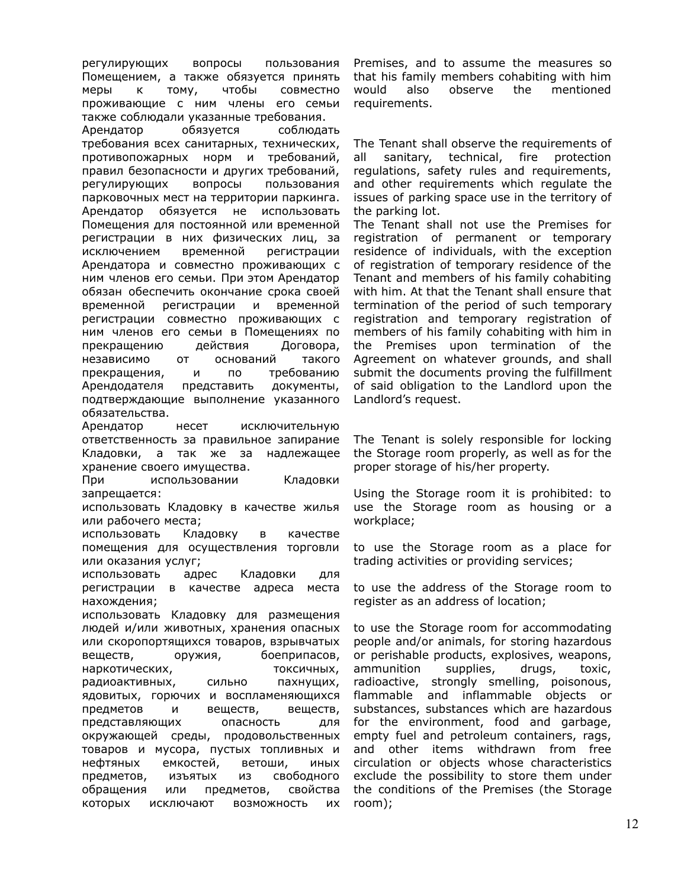регулирующих вопросы пользования Помещением, а также обязуется принять меры к тому, чтобы совместно проживающие с ним члены его семьи также соблюдали указанные требования.

Арендатор обязуется соблюдать требования всех санитарных, технических, противопожарных норм и требований, правил безопасности и других требований, регулирующих вопросы пользования парковочных мест на территории паркинга. Арендатор обязуется не использовать Помещения для постоянной или временной регистрации в них физических лиц, за исключением временной регистрации Арендатора и совместно проживающих с ним членов его семьи. При этом Арендатор обязан обеспечить окончание срока своей временной регистрации и временной регистрации совместно проживающих с ним членов его семьи в Помещениях по прекращению действия Договора, независимо от оснований такого прекращения, и по требованию Арендодателя представить документы, подтверждающие выполнение указанного обязательства.

Арендатор несет исключительную ответственность за правильное запирание Кладовки, а так же за надлежащее хранение своего имущества.

При использовании Кладовки запрещается:

использовать Кладовку в качестве жилья или рабочего места;

использовать Кладовку в качестве помещения для осуществления торговли или оказания услуг;

использовать адрес Кладовки для регистрации в качестве адреса места нахождения;

использовать Кладовку для размещения людей и/или животных, хранения опасных или скоропортящихся товаров, взрывчатых веществ, оружия, боеприпасов, наркотических, поставляет токсичных, радиоактивных, сильно пахнущих, ядовитых, горючих и воспламеняющихся предметов и веществ, веществ, представляющих опасность для окружающей среды, продовольственных товаров и мусора, пустых топливных и нефтяных емкостей, ветоши, иных предметов, изъятых из свободного обращения или предметов, свойства которых исключают возможность их

Premises, and to assume the measures so that his family members cohabiting with him would also observe the mentioned requirements.

The Tenant shall observe the requirements of all sanitary, technical, fire protection regulations, safety rules and requirements, and other requirements which regulate the issues of parking space use in the territory of the parking lot.

The Tenant shall not use the Premises for registration of permanent or temporary residence of individuals, with the exception of registration of temporary residence of the Tenant and members of his family cohabiting with him. At that the Tenant shall ensure that termination of the period of such temporary registration and temporary registration of members of his family cohabiting with him in the Premises upon termination of the Agreement on whatever grounds, and shall submit the documents proving the fulfillment of said obligation to the Landlord upon the Landlord's request.

The Tenant is solely responsible for locking the Storage room properly, as well as for the proper storage of his/her property.

Using the Storage room it is prohibited: to use the Storage room as housing or a workplace;

to use the Storage room as a place for trading activities or providing services;

to use the address of the Storage room to register as an address of location;

to use the Storage room for accommodating people and/or animals, for storing hazardous or perishable products, explosives, weapons, ammunition supplies, drugs, toxic, radioactive, strongly smelling, poisonous, flammable and inflammable objects or substances, substances which are hazardous for the environment, food and garbage, empty fuel and petroleum containers, rags, and other items withdrawn from free circulation or objects whose characteristics exclude the possibility to store them under the conditions of the Premises (the Storage room);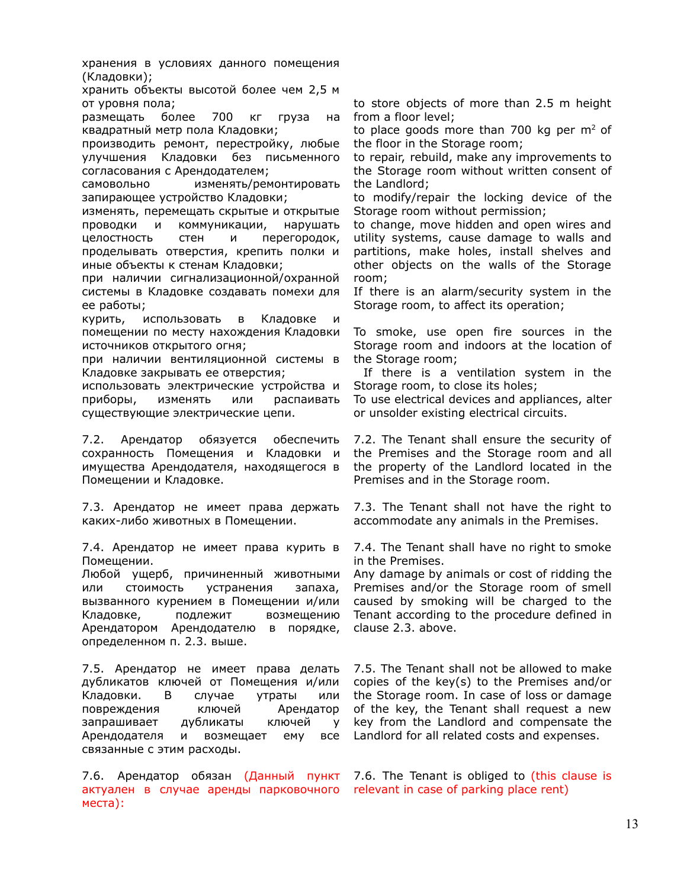хранения в условиях данного помещения (Кладовки);

хранить объекты высотой более чем 2,5 м от уровня пола;

размещать более 700 кг груза на квадратный метр пола Кладовки;

производить ремонт, перестройку, любые улучшения Кладовки без письменного согласования с Арендодателем;

самовольно изменять/ремонтировать запирающее устройство Кладовки;

изменять, перемещать скрытые и открытые проводки и коммуникации, нарушать целостность стен и перегородок, проделывать отверстия, крепить полки и иные объекты к стенам Кладовки;

при наличии сигнализационной/охранной системы в Кладовке создавать помехи для ее работы;

курить, использовать в Кладовке и помещении по месту нахождения Кладовки источников открытого огня;

при наличии вентиляционной системы в Кладовке закрывать ее отверстия;

использовать электрические устройства и приборы, изменять или распаивать существующие электрические цепи.

7.2. Арендатор обязуется обеспечить сохранность Помещения и Кладовки и имущества Арендодателя, находящегося в Помещении и Кладовке.

7.3. Арендатор не имеет права держать каких-либо животных в Помещении.

7.4. Арендатор не имеет права курить в Помещении.

Любой ущерб, причиненный животными или стоимость устранения запаха, вызванного курением в Помещении и/или Кладовке, подлежит возмещению Арендатором Арендодателю в порядке, определенном п. 2.3. выше.

7.5. Арендатор не имеет права делать дубликатов ключей от Помещения и/или Кладовки. В случае утраты или повреждения ключей Арендатор запрашивает дубликаты ключей у Арендодателя и возмещает ему все связанные с этим расходы.

7.6. Арендатор обязан (Данный пункт 7.6. The Tenant is obliged to (this clause is актуален в случае аренды парковочного relevant in case of parking place rent) места):

to store objects of more than 2.5 m height from a floor level;

to place goods more than 700 kg per  $m<sup>2</sup>$  of the floor in the Storage room;

to repair, rebuild, make any improvements to the Storage room without written consent of the Landlord;

to modify/repair the locking device of the Storage room without permission;

to change, move hidden and open wires and utility systems, cause damage to walls and partitions, make holes, install shelves and other objects on the walls of the Storage room;

If there is an alarm/security system in the Storage room, to affect its operation;

To smoke, use open fire sources in the Storage room and indoors at the location of the Storage room;

If there is a ventilation system in the Storage room, to close its holes;

To use electrical devices and appliances, alter or unsolder existing electrical circuits.

7.2. The Tenant shall ensure the security of the Premises and the Storage room and all the property of the Landlord located in the Premises and in the Storage room.

7.3. The Tenant shall not have the right to accommodate any animals in the Premises.

7.4. The Tenant shall have no right to smoke in the Premises.

Any damage by animals or cost of ridding the Premises and/or the Storage room of smell caused by smoking will be charged to the Tenant according to the procedure defined in clause 2.3. above.

7.5. The Tenant shall not be allowed to make copies of the key(s) to the Premises and/or the Storage room. In case of loss or damage of the key, the Tenant shall request a new key from the Landlord and compensate the Landlord for all related costs and expenses.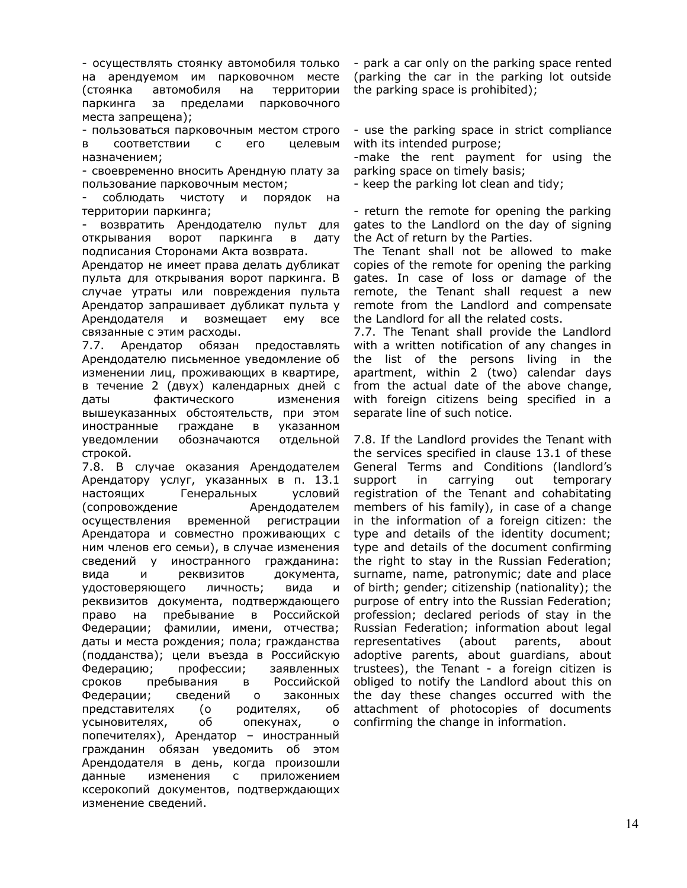- осуществлять стоянку автомобиля только на арендуемом им парковочном месте (стоянка автомобиля на территории паркинга за пределами парковочного места запрещена);

- пользоваться парковочным местом строго в соответствии с его целевым назначением;

- своевременно вносить Арендную плату за пользование парковочным местом;

- соблюдать чистоту и порядок на территории паркинга;

- возвратить Арендодателю пульт для открывания ворот паркинга в дату подписания Сторонами Акта возврата.

Арендатор не имеет права делать дубликат пульта для открывания ворот паркинга. В случае утраты или повреждения пульта Арендатор запрашивает дубликат пульта у Арендодателя и возмещает ему все связанные с этим расходы.

7.7. Арендатор обязан предоставлять Арендодателю письменное уведомление об изменении лиц, проживающих в квартире, в течение 2 (двух) календарных дней c даты фактического изменения вышеуказанных обстоятельств, при этом иностранные граждане в указанном уведомлении обозначаются отдельной строкой.

7.8. В случае оказания Арендодателем Арендатору услуг, указанных в п. 13.1 настоящих Генеральных условий (сопровождение Арендодателем осуществления временной регистрации Арендатора и совместно проживающих с ним членов его семьи), в случае изменения сведений у иностранного гражданина: вида и реквизитов документа, удостоверяющего личность; вида и реквизитов документа, подтверждающего право на пребывание в Российской Федерации; фамилии, имени, отчества; даты и места рождения; пола; гражданства (подданства); цели въезда в Российскую Федерацию; профессии; заявленных сроков пребывания в Российской Федерации; сведений о законных представителях (о родителях, об усыновителях, об опекунах, о попечителях), Арендатор – иностранный гражданин обязан уведомить об этом Арендодателя в день, когда произошли данные изменения с приложением ксерокопий документов, подтверждающих изменение сведений.

- park a car only on the parking space rented (parking the car in the parking lot outside the parking space is prohibited);

- use the parking space in strict compliance with its intended purpose;

-make the rent payment for using the parking space on timely basis;

- keep the parking lot clean and tidy;

- return the remote for opening the parking gates to the Landlord on the day of signing the Act of return by the Parties.

The Tenant shall not be allowed to make copies of the remote for opening the parking gates. In case of loss or damage of the remote, the Tenant shall request a new remote from the Landlord and compensate the Landlord for all the related costs.

7.7. The Tenant shall provide the Landlord with a written notification of any changes in the list of the persons living in the apartment, within 2 (two) calendar days from the actual date of the above change, with foreign citizens being specified in a separate line of such notice.

7.8. If the Landlord provides the Tenant with the services specified in clause 13.1 of these General Terms and Conditions (landlord's support in carrying out temporary registration of the Tenant and cohabitating members of his family), in case of a change in the information of a foreign citizen: the type and details of the identity document; type and details of the document confirming the right to stay in the Russian Federation; surname, name, patronymic; date and place of birth; gender; citizenship (nationality); the purpose of entry into the Russian Federation; profession; declared periods of stay in the Russian Federation; information about legal representatives (about parents, about adoptive parents, about guardians, about trustees), the Tenant - a foreign citizen is obliged to notify the Landlord about this on the day these changes occurred with the attachment of photocopies of documents confirming the change in information.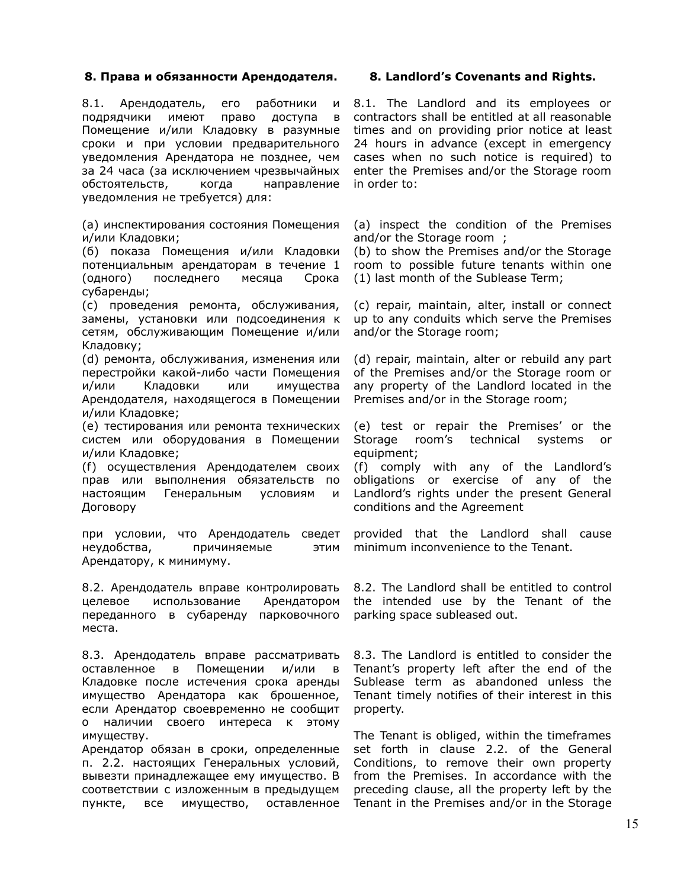# **8. Права и обязанности Арендодателя. 8. Landlord's Covenants and Rights.**

8.1. Арендодатель, его работники и подрядчики имеют право доступа в Помещение и/или Кладовку в разумные сроки и при условии предварительного уведомления Арендатора не позднее, чем за 24 часа (за исключением чрезвычайных обстоятельств, когда направление уведомления не требуется) для:

(а) инспектирования состояния Помещения и/или Кладовки;

(б) показа Помещения и/или Кладовки потенциальным арендаторам в течение 1 (одного) последнего месяца Срока субаренды;

(c) проведения ремонта, обслуживания, замены, установки или подсоединения к сетям, обслуживающим Помещение и/или Кладовку;

(d) ремонта, обслуживания, изменения или перестройки какой-либо части Помещения и/или Кладовки или имущества Арендодателя, находящегося в Помещении и/или Кладовке;

(e) тестирования или ремонта технических систем или оборудования в Помещении и/или Кладовке;

(f) осуществления Арендодателем своих прав или выполнения обязательств по настоящим Генеральным условиям и Договору

при условии, что Арендодатель сведет неудобства, причиняемые этим Арендатору, к минимуму.

8.2. Арендодатель вправе контролировать целевое использование Арендатором переданного в субаренду парковочного места.

8.3. Арендодатель вправе рассматривать оставленное в Помещении и/или в Кладовке после истечения срока аренды имущество Арендатора как брошенное, если Арендатор своевременно не сообщит о наличии своего интереса к этому имуществу.

Арендатор обязан в сроки, определенные п. 2.2. настоящих Генеральных условий, вывезти принадлежащее ему имущество. В соответствии с изложенным в предыдущем пункте, все имущество, оставленное

8.1. The Landlord and its employees or contractors shall be entitled at all reasonable times and on providing prior notice at least 24 hours in advance (except in emergency cases when no such notice is required) to enter the Premises and/or the Storage room in order to:

(a) inspect the condition of the Premises and/or the Storage room ;

(b) to show the Premises and/or the Storage room to possible future tenants within one (1) last month of the Sublease Term;

(c) repair, maintain, alter, install or connect up to any conduits which serve the Premises and/or the Storage room;

(d) repair, maintain, alter or rebuild any part of the Premises and/or the Storage room or any property of the Landlord located in the Premises and/or in the Storage room;

(e) test or repair the Premises' or the Storage room's technical systems or equipment;

(f) comply with any of the Landlord's obligations or exercise of any of the Landlord's rights under the present General conditions and the Agreement

provided that the Landlord shall cause minimum inconvenience to the Tenant.

8.2. The Landlord shall be entitled to control the intended use by the Tenant of the parking space subleased out.

8.3. The Landlord is entitled to consider the Tenant's property left after the end of the Sublease term as abandoned unless the Tenant timely notifies of their interest in this property.

The Tenant is obliged, within the timeframes set forth in clause 2.2. of the General Conditions, to remove their own property from the Premises. In accordance with the preceding clause, all the property left by the Tenant in the Premises and/or in the Storage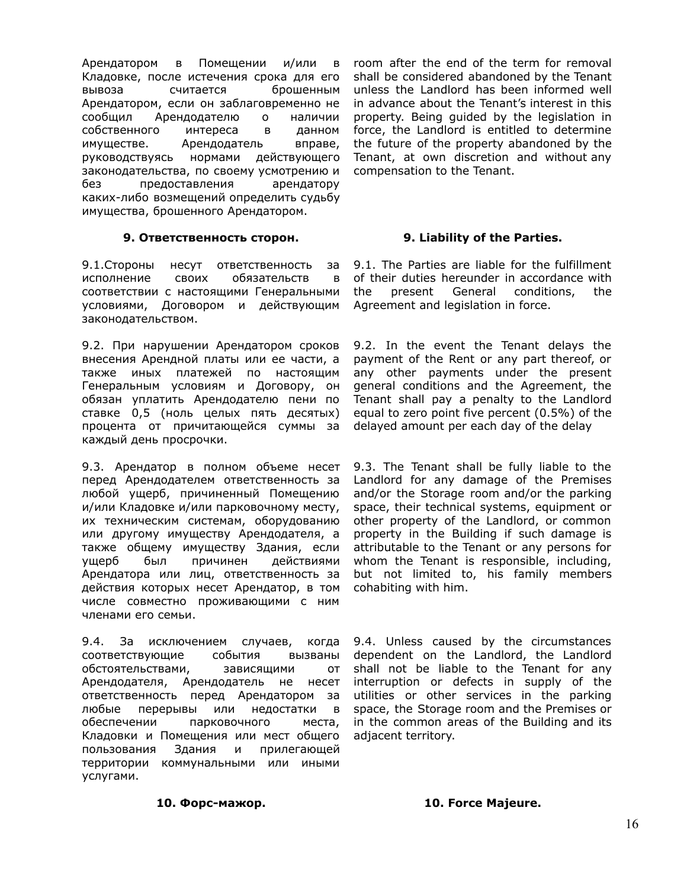Арендатором в Помещении и/или в Кладовке, после истечения срока для его вывоза считается брошенным Арендатором, если он заблаговременно не сообщил Арендодателю о наличии собственного интереса в данном имуществе. Арендодатель вправе, руководствуясь нормами действующего законодательства, по своему усмотрению и без предоставления арендатору каких-либо возмещений определить судьбу имущества, брошенного Арендатором.

## **9. Ответственность сторон. 9. Liability of the Parties.**

9.1.Стороны несут ответственность за исполнение своих обязательств в соответствии с настоящими Генеральными условиями, Договором и действующим Agreement and legislation in force. законодательством.

9.2. При нарушении Арендатором сроков внесения Арендной платы или ее части, а также иных платежей по настоящим Генеральным условиям и Договору, он обязан уплатить Арендодателю пени по ставке 0,5 (ноль целых пять десятых) процента от причитающейся суммы за каждый день просрочки.

9.3. Арендатор в полном объеме несет перед Арендодателем ответственность за любой ущерб, причиненный Помещению и/или Кладовке и/или парковочному месту, их техническим системам, оборудованию или другому имуществу Арендодателя, а также общему имуществу Здания, если ущерб был причинен действиями Арендатора или лиц, ответственность за действия которых несет Арендатор, в том числе совместно проживающими с ним членами его семьи.

9.4. За исключением случаев, когда соответствующие события вызваны обстоятельствами, зависящими от Арендодателя, Арендодатель не несет ответственность перед Арендатором за любые перерывы или недостатки в обеспечении парковочного места, Кладовки и Помещения или мест общего пользования Здания и прилегающей территории коммунальными или иными услугами.

room after the end of the term for removal shall be considered abandoned by the Tenant unless the Landlord has been informed well in advance about the Tenant's interest in this property. Being guided by the legislation in force, the Landlord is entitled to determine the future of the property abandoned by the Tenant, at own discretion and without any compensation to the Tenant.

9.1. The Parties are liable for the fulfillment of their duties hereunder in accordance with the present General conditions, the

9.2. In the event the Tenant delays the payment of the Rent or any part thereof, or any other payments under the present general conditions and the Agreement, the Tenant shall pay a penalty to the Landlord equal to zero point five percent (0.5%) of the delayed amount per each day of the delay

9.3. The Tenant shall be fully liable to the Landlord for any damage of the Premises and/or the Storage room and/or the parking space, their technical systems, equipment or other property of the Landlord, or common property in the Building if such damage is attributable to the Tenant or any persons for whom the Tenant is responsible, including, but not limited to, his family members cohabiting with him.

9.4. Unless caused by the circumstances dependent on the Landlord, the Landlord shall not be liable to the Tenant for any interruption or defects in supply of the utilities or other services in the parking space, the Storage room and the Premises or in the common areas of the Building and its adjacent territory.

**10. Форс-мажор. 10. Force Majeure.**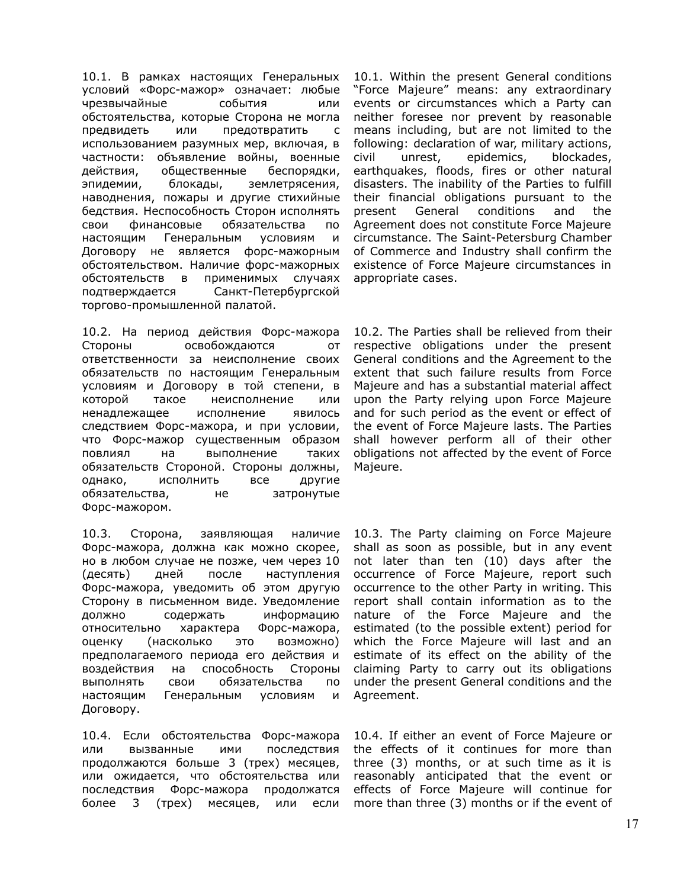10.1. В рамках настоящих Генеральных условий «Форс-мажор» означает: любые чрезвычайные события или обстоятельства, которые Сторона не могла предвидеть или предотвратить с использованием разумных мер, включая, в частности: объявление войны, военные действия, общественные беспорядки, эпидемии, блокады, землетрясения, наводнения, пожары и другие стихийные бедствия. Неспособность Сторон исполнять свои финансовые обязательства по настоящим Генеральным условиям и Договору не является форс-мажорным обстоятельством. Наличие форс-мажорных обстоятельств в применимых случаях подтверждается Санкт-Петербургской торгово-промышленной палатой.

10.2. На период действия Форс-мажора Стороны освобождаются от ответственности за неисполнение своих обязательств по настоящим Генеральным условиям и Договору в той степени, в которой такое неисполнение или ненадлежащее исполнение явилось следствием Форс-мажора, и при условии, что Форс-мажор существенным образом повлиял на выполнение таких обязательств Стороной. Стороны должны, однако, исполнить все другие обязательства, не затронутые Форс-мажором.

10.3. Сторона, заявляющая наличие Форс-мажора, должна как можно скорее, но в любом случае не позже, чем через 10 (десять) дней после наступления Форс-мажора, уведомить об этом другую Сторону в письменном виде. Уведомление должно содержать информацию относительно характера Форс-мажора, оценку (насколько это возможно) предполагаемого периода его действия и воздействия на способность Стороны выполнять свои обязательства по настоящим Генеральным условиям и Договору.

10.4. Если обстоятельства Форс-мажора или вызванные ими последствия продолжаются больше 3 (трех) месяцев, или ожидается, что обстоятельства или последствия Форс-мажора продолжатся более 3 (трех) месяцев, или если

10.1. Within the present General conditions "Force Majeure" means: any extraordinary events or circumstances which a Party can neither foresee nor prevent by reasonable means including, but are not limited to the following: declaration of war, military actions, civil unrest, epidemics, blockades, earthquakes, floods, fires or other natural disasters. The inability of the Parties to fulfill their financial obligations pursuant to the present General conditions and the Agreement does not constitute Force Majeure circumstance. The Saint-Petersburg Chamber of Commerce and Industry shall confirm the existence of Force Majeure circumstances in appropriate cases.

10.2. The Parties shall be relieved from their respective obligations under the present General conditions and the Agreement to the extent that such failure results from Force Majeure and has a substantial material affect upon the Party relying upon Force Majeure and for such period as the event or effect of the event of Force Majeure lasts. The Parties shall however perform all of their other obligations not affected by the event of Force Majeure.

10.3. The Party claiming on Force Majeure shall as soon as possible, but in any event not later than ten (10) days after the occurrence of Force Majeure, report such occurrence to the other Party in writing. This report shall contain information as to the nature of the Force Majeure and the estimated (to the possible extent) period for which the Force Majeure will last and an estimate of its effect on the ability of the claiming Party to carry out its obligations under the present General conditions and the Agreement.

10.4. If either an event of Force Majeure or the effects of it continues for more than three (3) months, or at such time as it is reasonably anticipated that the event or effects of Force Majeure will continue for more than three (3) months or if the event of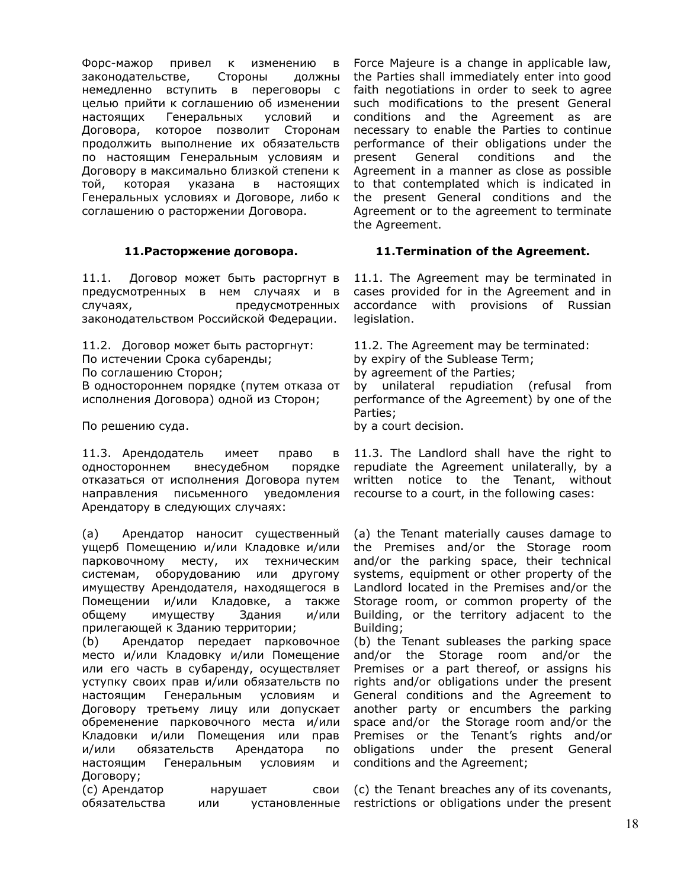Форс-мажор привел к изменению в законодательстве, Стороны должны немедленно вступить в переговоры с целью прийти к соглашению об изменении настоящих Генеральных условий и Договора, которое позволит Сторонам продолжить выполнение их обязательств по настоящим Генеральным условиям и Договору в максимально близкой степени к той, которая указана в настоящих Генеральных условиях и Договоре, либо к соглашению о расторжении Договора.

11.1. Договор может быть расторгнут в предусмотренных в нем случаях и в случаях, предусмотренных законодательством Российской Федерации.

11.2. Договор может быть расторгнут: 11.2. The Agreement may be terminated: По истечении Срока субаренды; by expiry of the Sublease Term; По соглашению Сторон; by agreement of the Parties; В одностороннем порядке (путем отказа от исполнения Договора) одной из Сторон;

11.3. Арендодатель имеет право в одностороннем внесудебном порядке отказаться от исполнения Договора путем направления письменного уведомления Арендатору в следующих случаях:

(а) Арендатор наносит существенный ущерб Помещению и/или Кладовке и/или парковочному месту, их техническим системам, оборудованию или другому имуществу Арендодателя, находящегося в Помещении и/или Кладовке, а также общему имуществу Здания и/или прилегающей к Зданию территории;

(b) Арендатор передает парковочное место и/или Кладовку и/или Помещение или его часть в субаренду, осуществляет уступку своих прав и/или обязательств по настоящим Генеральным условиям и Договору третьему лицу или допускает обременение парковочного места и/или Кладовки и/или Помещения или прав и/или обязательств Арендатора по настоящим Генеральным условиям и Договору;

(c) Арендатор нарушает свои обязательства или установленные

Force Majeure is a change in applicable law, the Parties shall immediately enter into good faith negotiations in order to seek to agree such modifications to the present General conditions and the Agreement as are necessary to enable the Parties to continue performance of their obligations under the present General conditions and the Agreement in a manner as close as possible to that contemplated which is indicated in the present General conditions and the Agreement or to the agreement to terminate the Agreement.

# **11.Расторжение договора. 11.Termination of the Agreement.**

11.1. The Agreement may be terminated in cases provided for in the Agreement and in accordance with provisions of Russian legislation.

by unilateral repudiation (refusal from performance of the Agreement) by one of the Parties; По решению суда. example and the by a court decision.

> 11.3. The Landlord shall have the right to repudiate the Agreement unilaterally, by a written notice to the Tenant, without recourse to a court, in the following cases:

> (a) the Tenant materially causes damage to the Premises and/or the Storage room and/or the parking space, their technical systems, equipment or other property of the Landlord located in the Premises and/or the Storage room, or common property of the Building, or the territory adjacent to the Building;

> (b) the Tenant subleases the parking space and/or the Storage room and/or the Premises or a part thereof, or assigns his rights and/or obligations under the present General conditions and the Agreement to another party or encumbers the parking space and/or the Storage room and/or the Premises or the Tenant's rights and/or obligations under the present General conditions and the Agreement;

(c) the Tenant breaches any of its covenants, restrictions or obligations under the present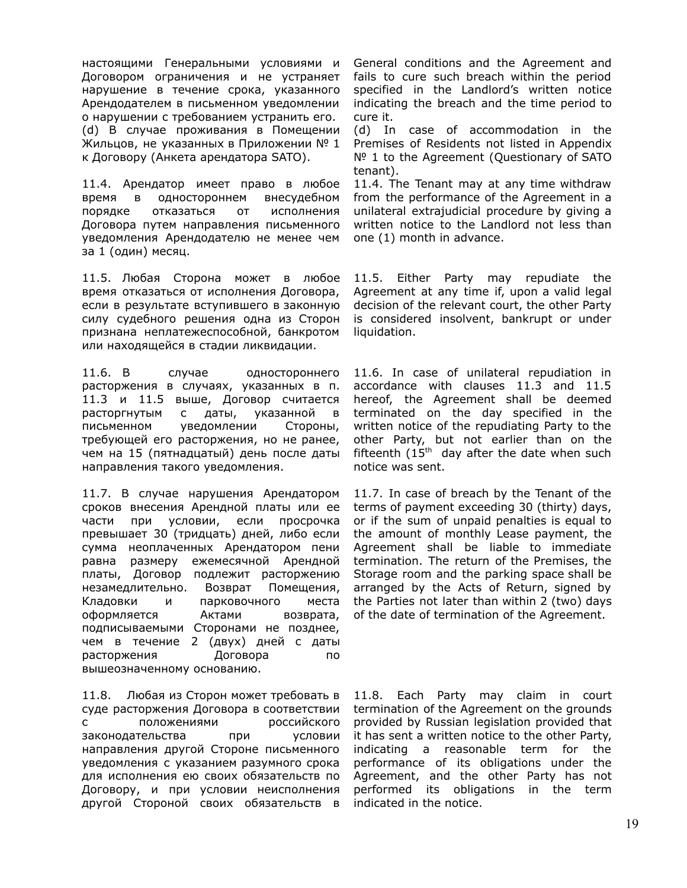настоящими Генеральными условиями и Договором ограничения и не устраняет нарушение в течение срока, указанного Арендодателем в письменном уведомлении о нарушении с требованием устранить его. (d) В случае проживания в Помещении Жильцов, не указанных в Приложении № 1 к Договору (Анкета арендатора SATO).

11.4. Арендатор имеет право в любое время в одностороннем внесудебном порядке отказаться от исполнения Договора путем направления письменного уведомления Арендодателю не менее чем за 1 (один) месяц.

11.5. Любая Сторона может в любое время отказаться от исполнения Договора, если в результате вступившего в законную силу судебного решения одна из Сторон признана неплатежеспособной, банкротом или находящейся в стадии ликвидации.

11.6. В случае одностороннего расторжения в случаях, указанных в п. 11.3 и 11.5 выше, Договор считается расторгнутым с даты, указанной в письменном уведомлении Стороны, требующей его расторжения, но не ранее, чем на 15 (пятнадцатый) день после даты направления такого уведомления.

11.7. В случае нарушения Арендатором сроков внесения Арендной платы или ее части при условии, если просрочка превышает 30 (тридцать) дней, либо если сумма неоплаченных Арендатором пени равна размеру ежемесячной Арендной платы, Договор подлежит расторжению незамедлительно. Возврат Помещения, Кладовки и парковочного места оформляется Актами возврата, подписываемыми Сторонами не позднее, чем в течение 2 (двух) дней с даты расторжения Договора по вышеозначенному основанию.

11.8. Любая из Сторон может требовать в суде расторжения Договора в соответствии с положениями российского законодательства при условии направления другой Стороне письменного уведомления с указанием разумного срока для исполнения ею своих обязательств по Договору, и при условии неисполнения другой Стороной своих обязательств в

General conditions and the Agreement and fails to cure such breach within the period specified in the Landlord's written notice indicating the breach and the time period to cure it.

(d) In case of accommodation in the Premises of Residents not listed in Appendix Nº 1 to the Agreement (Questionary of SATO tenant).

11.4. The Tenant may at any time withdraw from the performance of the Agreement in a unilateral extrajudicial procedure by giving a written notice to the Landlord not less than one (1) month in advance.

11.5. Either Party may repudiate the Agreement at any time if, upon a valid legal decision of the relevant court, the other Party is considered insolvent, bankrupt or under liquidation.

11.6. In case of unilateral repudiation in accordance with clauses 11.3 and 11.5 hereof, the Agreement shall be deemed terminated on the day specified in the written notice of the repudiating Party to the other Party, but not earlier than on the fifteenth  $(15<sup>th</sup>$  day after the date when such notice was sent.

11.7. In case of breach by the Tenant of the terms of payment exceeding 30 (thirty) days, or if the sum of unpaid penalties is equal to the amount of monthly Lease payment, the Agreement shall be liable to immediate termination. The return of the Premises, the Storage room and the parking space shall be arranged by the Acts of Return, signed by the Parties not later than within 2 (two) days of the date of termination of the Agreement.

11.8. Each Party may claim in court termination of the Agreement on the grounds provided by Russian legislation provided that it has sent a written notice to the other Party, indicating a reasonable term for the performance of its obligations under the Agreement, and the other Party has not performed its obligations in the term indicated in the notice.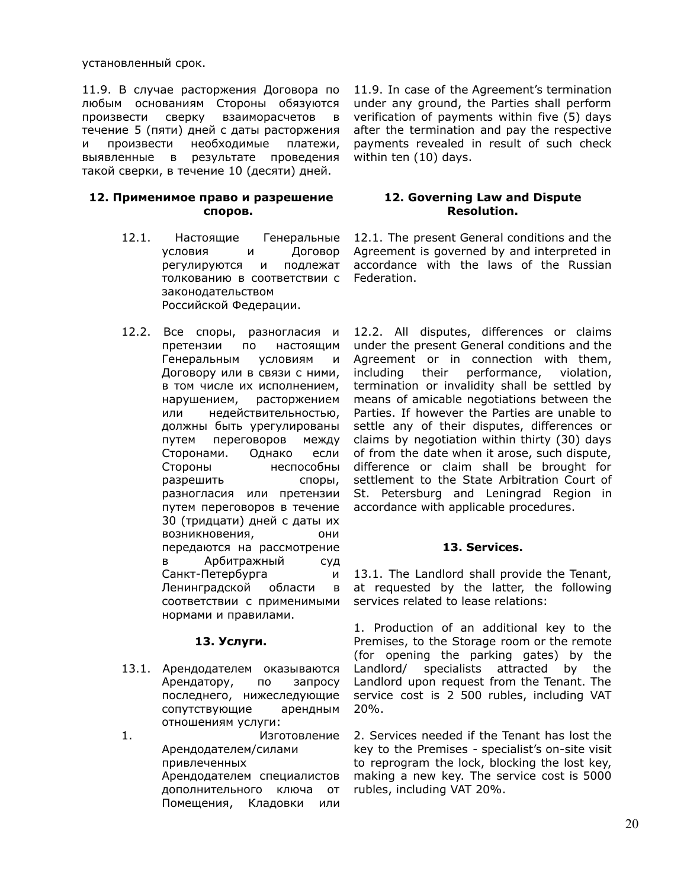установленный срок.

11.9. В случае расторжения Договора по любым основаниям Стороны обязуются произвести сверку взаиморасчетов в течение 5 (пяти) дней с даты расторжения и произвести необходимые платежи, выявленные в результате проведения такой сверки, в течение 10 (десяти) дней.

## **12. Применимое право и разрешение споров.**

- 12.1. Настоящие Генеральные условия и Договор регулируются и подлежат толкованию в соответствии с законодательством Российской Федерации.
- 12.2. Все споры, разногласия и претензии по настоящим Генеральным условиям и Договору или в связи с ними, в том числе их исполнением, нарушением, расторжением или недействительностью, должны быть урегулированы путем переговоров между Сторонами. Однако если Стороны неспособны разрешить споры, разногласия или претензии путем переговоров в течение 30 (тридцати) дней с даты их возникновения, они передаются на рассмотрение в Арбитражный суд Санкт-Петербурга и Ленинградской области в соответствии с применимыми нормами и правилами.

# **13. Услуги.**

13.1. Арендодателем оказываются Арендатору, по запросу последнего, нижеследующие сопутствующие арендным отношениям услуги:

1. Изготовление Арендодателем/силами привлеченных Арендодателем специалистов дополнительного ключа от Помещения, Кладовки или

11.9. In case of the Agreement's termination under any ground, the Parties shall perform verification of payments within five (5) days after the termination and pay the respective payments revealed in result of such check within ten (10) days.

# **12. Governing Law and Dispute Resolution.**

12.1. The present General conditions and the Agreement is governed by and interpreted in accordance with the laws of the Russian Federation.

12.2. All disputes, differences or claims under the present General conditions and the Agreement or in connection with them, including their performance, violation, termination or invalidity shall be settled by means of amicable negotiations between the Parties. If however the Parties are unable to settle any of their disputes, differences or claims by negotiation within thirty (30) days of from the date when it arose, such dispute, difference or claim shall be brought for settlement to the State Arbitration Court of St. Petersburg and Leningrad Region in accordance with applicable procedures.

# **13. Services.**

13.1. The Landlord shall provide the Tenant, at requested by the latter, the following services related to lease relations:

1. Production of an additional key to the Premises, to the Storage room or the remote (for opening the parking gates) by the Landlord/ specialists attracted by the Landlord upon request from the Tenant. The service cost is 2 500 rubles, including VAT 20%.

2. Services needed if the Tenant has lost the key to the Premises - specialist's on-site visit to reprogram the lock, blocking the lost key, making a new key. The service cost is 5000 rubles, including VAT 20%.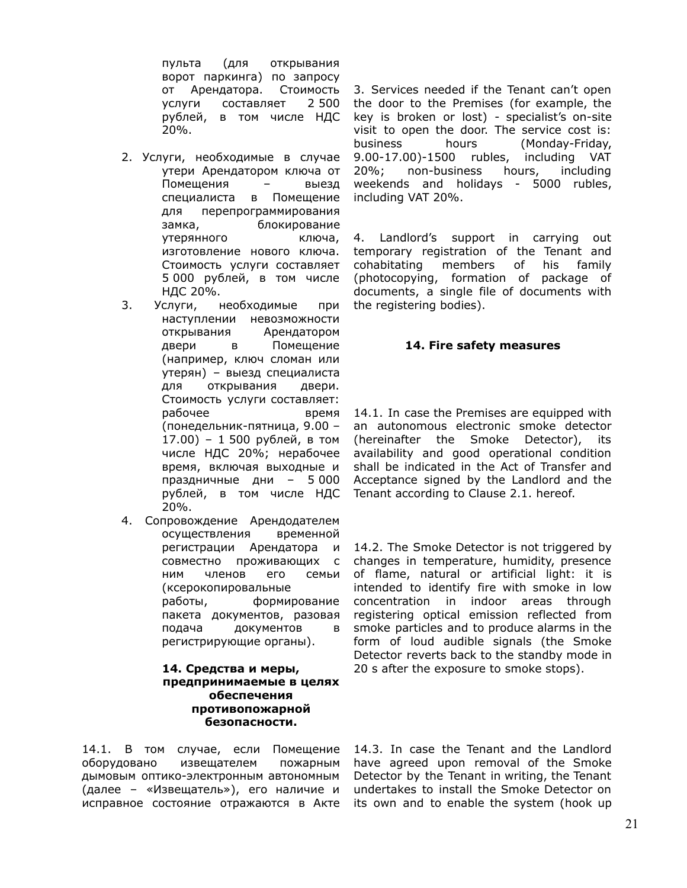пульта (для открывания ворот паркинга) по запросу от Арендатора. Стоимость услуги составляет 2 500 рублей, в том числе НДС 20%.

- 2. Услуги, необходимые в случае утери Арендатором ключа от Помещения – выезд специалиста в Помещение для перепрограммирования замка, блокирование утерянного ключа, изготовление нового ключа. Стоимость услуги составляет 5 000 рублей, в том числе НДС 20%.
- 3. Услуги, необходимые при наступлении невозможности открывания Арендатором двери в Помещение (например, ключ сломан или утерян) – выезд специалиста для открывания двери. Стоимость услуги составляет: рабочее время (понедельник-пятница, 9.00 – 17.00) – 1 500 рублей, в том числе НДС 20%; нерабочее время, включая выходные и праздничные дни – 5 000 рублей, в том числе НДС 20%.
- 4. Сопровождение Арендодателем осуществления временной регистрации Арендатора и совместно проживающих с ним членов его семьи (ксерокопировальные работы, формирование пакета документов, разовая подача документов в регистрирующие органы).

## **14. Средства и меры, предпринимаемые в целях обеспечения противопожарной безопасности.**

14.1. В том случае, если Помещение оборудовано извещателем пожарным дымовым оптико-электронным автономным (далее – «Извещатель»), его наличие и исправное состояние отражаются в Акте its own and to enable the system (hook up

3. Services needed if the Tenant can't open the door to the Premises (for example, the key is broken or lost) - specialist's on-site visit to open the door. The service cost is: business hours (Monday-Friday, 9.00-17.00)-1500 rubles, including VAT 20%; non-business hours, including weekends and holidays - 5000 rubles, including VAT 20%.

4. Landlord's support in carrying out temporary registration of the Tenant and cohabitating members of his family (photocopying, formation of package of documents, a single file of documents with the registering bodies).

## **14. Fire safety measures**

14.1. In case the Premises are equipped with an autonomous electronic smoke detector (hereinafter the Smoke Detector), its availability and good operational condition shall be indicated in the Act of Transfer and Acceptance signed by the Landlord and the Tenant according to Clause 2.1. hereof.

14.2. The Smoke Detector is not triggered by changes in temperature, humidity, presence of flame, natural or artificial light: it is intended to identify fire with smoke in low concentration in indoor areas through registering optical emission reflected from smoke particles and to produce alarms in the form of loud audible signals (the Smoke Detector reverts back to the standby mode in 20 s after the exposure to smoke stops).

14.3. In case the Tenant and the Landlord have agreed upon removal of the Smoke Detector by the Tenant in writing, the Tenant undertakes to install the Smoke Detector on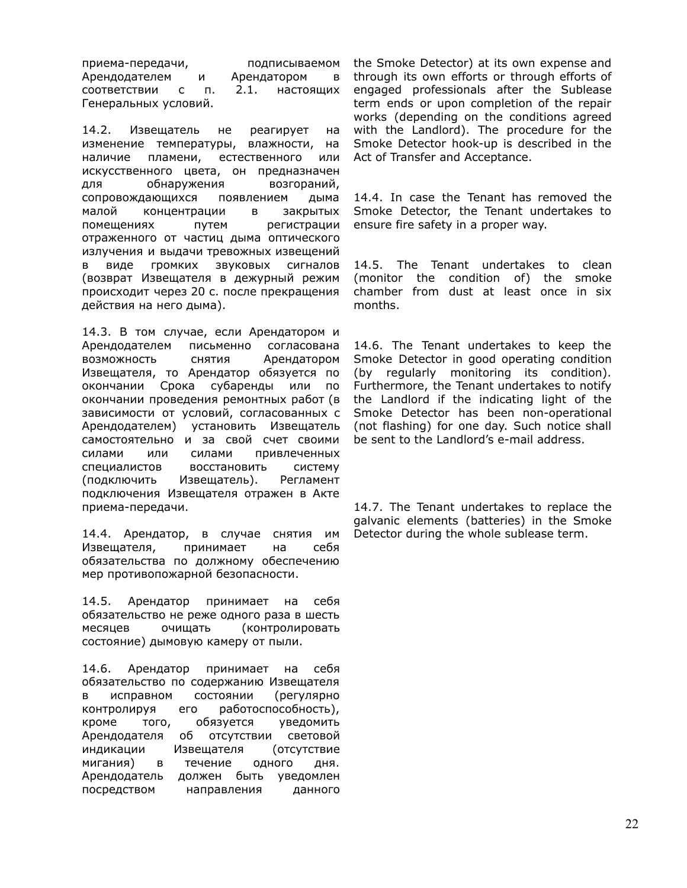приема-передачи, подписываемом Арендодателем и Арендатором в соответствии с п. 2.1. настоящих Генеральных условий.

14.2. Извещатель не реагирует на изменение температуры, влажности, на наличие пламени, естественного или искусственного цвета, он предназначен для обнаружения возгораний, сопровождающихся появлением дыма малой концентрации в закрытых помещениях путем регистрации отраженного от частиц дыма оптического излучения и выдачи тревожных извещений в виде громких звуковых сигналов (возврат Извещателя в дежурный режим происходит через 20 с. после прекращения действия на него дыма).

14.3. В том случае, если Арендатором и Арендодателем письменно согласована возможность снятия Арендатором Извещателя, то Арендатор обязуется по окончании Срока субаренды или по окончании проведения ремонтных работ (в зависимости от условий, согласованных с Арендодателем) установить Извещатель самостоятельно и за свой счет своими силами или силами привлеченных специалистов восстановить систему (подключить Извещатель). Регламент подключения Извещателя отражен в Акте приема-передачи.

14.4. Арендатор, в случае снятия им Извещателя, принимает на себя обязательства по должному обеспечению мер противопожарной безопасности.

14.5. Арендатор принимает на себя обязательство не реже одного раза в шесть месяцев очищать (контролировать состояние) дымовую камеру от пыли.

14.6. Арендатор принимает на себя обязательство по содержанию Извещателя в исправном состоянии (регулярно контролируя его работоспособность), кроме того, обязуется уведомить Арендодателя об отсутствии световой индикации Извещателя (отсутствие мигания) в течение одного дня. Арендодатель должен быть уведомлен посредством направления данного

the Smoke Detector) at its own expense and through its own efforts or through efforts of engaged professionals after the Sublease term ends or upon completion of the repair works (depending on the conditions agreed with the Landlord). The procedure for the Smoke Detector hook-up is described in the Act of Transfer and Acceptance.

14.4. In case the Tenant has removed the Smoke Detector, the Tenant undertakes to ensure fire safety in a proper way.

14.5. The Tenant undertakes to clean (monitor the condition of) the smoke chamber from dust at least once in six months.

14.6. The Tenant undertakes to keep the Smoke Detector in good operating condition (by regularly monitoring its condition). Furthermore, the Tenant undertakes to notify the Landlord if the indicating light of the Smoke Detector has been non-operational (not flashing) for one day. Such notice shall be sent to the Landlord's e-mail address.

14.7. The Tenant undertakes to replace the galvanic elements (batteries) in the Smoke Detector during the whole sublease term.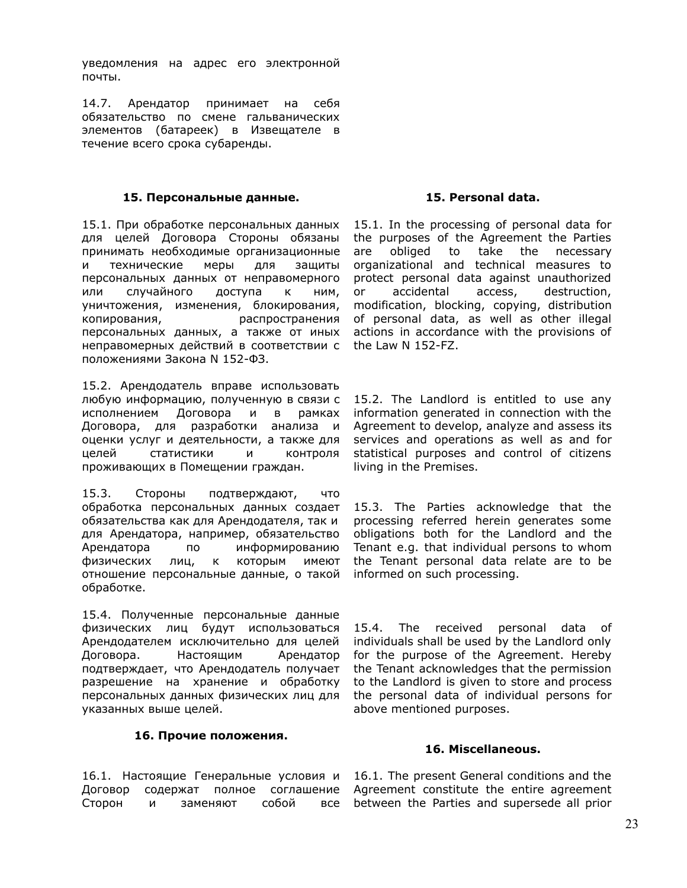уведомления на адрес его электронной почты.

14.7. Арендатор принимает на себя обязательство по смене гальванических элементов (батареек) в Извещателе в течение всего срока субаренды.

## **15. Персональные данные.**

15.1. При обработке персональных данных для целей Договора Стороны обязаны принимать необходимые организационные и технические меры для защиты персональных данных от неправомерного или случайного доступа к ним, уничтожения, изменения, блокирования, копирования, распространения персональных данных, а также от иных неправомерных действий в соответствии с положениями Закона N 152-ФЗ.

15.2. Арендодатель вправе использовать любую информацию, полученную в связи с исполнением Договора и в рамках Договора, для разработки анализа и оценки услуг и деятельности, а также для целей статистики и контроля проживающих в Помещении граждан.

15.3. Стороны подтверждают, что обработка персональных данных создает обязательства как для Арендодателя, так и для Арендатора, например, обязательство Арендатора по информированию физических лиц, к которым имеют отношение персональные данные, о такой обработке.

15.4. Полученные персональные данные физических лиц будут использоваться Арендодателем исключительно для целей Договора. Настоящим Арендатор подтверждает, что Арендодатель получает разрешение на хранение и обработку персональных данных физических лиц для указанных выше целей.

# **16. Прочие положения.**

16.1. Настоящие Генеральные условия и Договор содержат полное соглашение Сторон и заменяют собой все

# **15. Personal data.**

15.1. In the processing of personal data for the purposes of the Agreement the Parties are obliged to take the necessary organizational and technical measures to protect personal data against unauthorized or accidental access, destruction, modification, blocking, copying, distribution of personal data, as well as other illegal actions in accordance with the provisions of the Law N 152-FZ.

15.2. The Landlord is entitled to use any information generated in connection with the Agreement to develop, analyze and assess its services and operations as well as and for statistical purposes and control of citizens living in the Premises.

15.3. The Parties acknowledge that the processing referred herein generates some obligations both for the Landlord and the Tenant e.g. that individual persons to whom the Tenant personal data relate are to be informed on such processing.

15.4. The received personal data of individuals shall be used by the Landlord only for the purpose of the Agreement. Hereby the Tenant acknowledges that the permission to the Landlord is given to store and process the personal data of individual persons for above mentioned purposes.

### **16. Miscellaneous.**

16.1. The present General conditions and the Agreement constitute the entire agreement between the Parties and supersede all prior